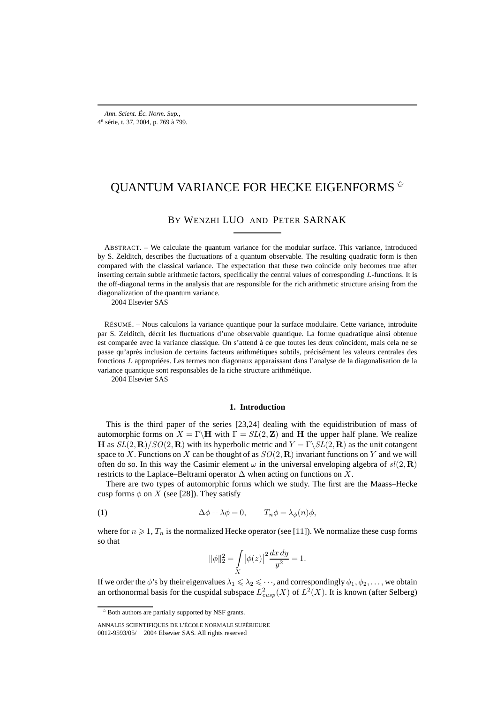# QUANTUM VARIANCE FOR HECKE EIGENFORMS  $^{\scriptscriptstyle\lozenge}$

# BY WENZHI LUO AND PETER SARNAK

ABSTRACT. – We calculate the quantum variance for the modular surface. This variance, introduced by S. Zelditch, describes the fluctuations of a quantum observable. The resulting quadratic form is then compared with the classical variance. The expectation that these two coincide only becomes true after inserting certain subtle arithmetic factors, specifically the central values of corresponding L-functions. It is the off-diagonal terms in the analysis that are responsible for the rich arithmetic structure arising from the diagonalization of the quantum variance.

2004 Elsevier SAS

RÉSUMÉ. – Nous calculons la variance quantique pour la surface modulaire. Cette variance, introduite par S. Zelditch, décrit les fluctuations d'une observable quantique. La forme quadratique ainsi obtenue est comparée avec la variance classique. On s'attend à ce que toutes les deux coïncident, mais cela ne se passe qu'après inclusion de certains facteurs arithmétiques subtils, précisément les valeurs centrales des fonctions L appropriées. Les termes non diagonaux apparaissant dans l'analyse de la diagonalisation de la variance quantique sont responsables de la riche structure arithmétique.

2004 Elsevier SAS

#### **1. Introduction**

This is the third paper of the series [23,24] dealing with the equidistribution of mass of automorphic forms on  $X = \Gamma \backslash H$  with  $\Gamma = SL(2, \mathbb{Z})$  and H the upper half plane. We realize **H** as  $SL(2,\mathbf{R})/SO(2,\mathbf{R})$  with its hyperbolic metric and  $Y = \Gamma \backslash SL(2,\mathbf{R})$  as the unit cotangent space to X. Functions on X can be thought of as  $SO(2,\mathbf{R})$  invariant functions on Y and we will often do so. In this way the Casimir element  $\omega$  in the universal enveloping algebra of  $sl(2,\mathbf{R})$ restricts to the Laplace–Beltrami operator  $\Delta$  when acting on functions on X.

There are two types of automorphic forms which we study. The first are the Maass–Hecke cusp forms  $\phi$  on X (see [28]). They satisfy

(1) 
$$
\Delta \phi + \lambda \phi = 0, \qquad T_n \phi = \lambda_{\phi}(n) \phi,
$$

where for  $n \geqslant 1$ ,  $T_n$  is the normalized Hecke operator (see [11]). We normalize these cusp forms so that

$$
\|\phi\|_2^2 = \int\limits_X |\phi(z)|^2 \frac{dx \, dy}{y^2} = 1.
$$

If we order the  $\phi$ 's by their eigenvalues  $\lambda_1\leqslant\lambda_2\leqslant\cdots$  , and correspondingly  $\phi_1,\phi_2,\ldots$  , we obtain an orthonormal basis for the cuspidal subspace  $L^2_{cusp}(X)$  of  $L^2(X)$ . It is known (after Selberg)

<sup>✩</sup> Both authors are partially supported by NSF grants.

ANNALES SCIENTIFIQUES DE L'ÉCOLE NORMALE SUPÉRIEURE 0012-9593/05/© 2004 Elsevier SAS. All rights reserved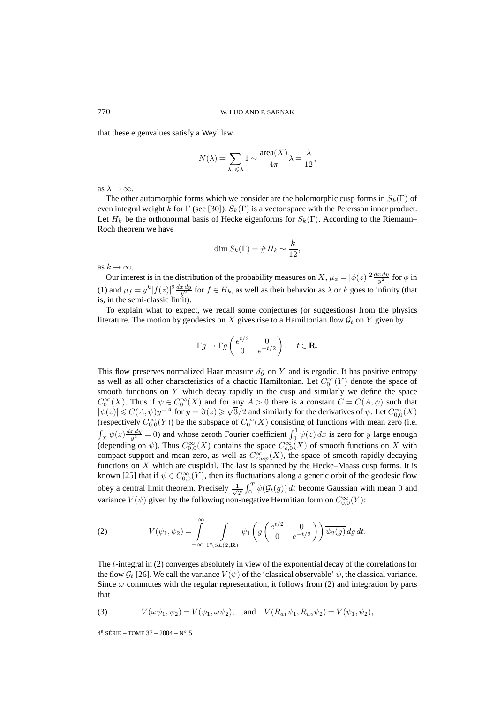that these eigenvalues satisfy a Weyl law

$$
N(\lambda) = \sum_{\lambda_j \leq \lambda} 1 \sim \frac{\text{area}(X)}{4\pi} \lambda = \frac{\lambda}{12},
$$

as  $\lambda \rightarrow \infty$ .

The other automorphic forms which we consider are the holomorphic cusp forms in  $S_k(\Gamma)$  of even integral weight k for Γ (see [30]).  $S_k(\Gamma)$  is a vector space with the Petersson inner product. Let  $H_k$  be the orthonormal basis of Hecke eigenforms for  $S_k(\Gamma)$ . According to the Riemann– Roch theorem we have

$$
\dim S_k(\Gamma) = \#H_k \sim \frac{k}{12},
$$

as  $k \to \infty$ .

Our interest is in the distribution of the probability measures on X,  $\mu_{\phi} = |\phi(z)|^2 \frac{dx dy}{y^2}$  for  $\phi$  in (1) and  $\mu_f = y^k |f(z)|^2 \frac{dx \, dy}{y^2}$  for  $f \in H_k$ , as well as their behavior as  $\lambda$  or k goes to infinity (that is, in the semi-classic limit).

To explain what to expect, we recall some conjectures (or suggestions) from the physics literature. The motion by geodesics on X gives rise to a Hamiltonian flow  $\mathcal{G}_t$  on Y given by

$$
\Gamma g \to \Gamma g \begin{pmatrix} e^{t/2} & 0 \\ 0 & e^{-t/2} \end{pmatrix}, \quad t \in \mathbf{R}.
$$

This flow preserves normalized Haar measure  $dg$  on Y and is ergodic. It has positive entropy as well as all other characteristics of a chaotic Hamiltonian. Let  $C_0^{\infty}(Y)$  denote the space of smooth functions on Y which decay rapidly in the cusp and similarly we define the space  $C_0^{\infty}(X)$ . Thus if  $\psi \in C_0^{\infty}(X)$  and for any  $A > 0$  there is a constant  $C = C(A, \psi)$  such that  $|\psi(z)| \le C(A, \psi)y^{-A}$  for  $y = \Im(z) \ge \sqrt{3}/2$  and similarly for the derivatives of  $\psi$ . Let  $C_{0,0}^{\infty}(X)$ (respectively  $C_{0,0}^{\infty}(Y)$ ) be the subspace of  $C_0^{\infty}(X)$  consisting of functions with mean zero (i.e.  $\int_X \psi(z) \frac{dx \, dy}{y^2} = 0$ ) and whose zeroth Fourier coefficient  $\int_0^1 \psi(z) \, dx$  is zero for y large enough (depending on  $\psi$ ). Thus  $C^{\infty}_{0,0}(X)$  contains the space  $C^{\infty}_{c,0}(X)$  of smooth functions on X with compact support and mean zero, as well as  $C_{cusp}^{\infty}(X)$ , the space of smooth rapidly decaying functions on  $X$  which are cuspidal. The last is spanned by the Hecke–Maass cusp forms. It is known [25] that if  $\psi \in C^{\infty}_{0,0}(Y)$ , then its fluctuations along a generic orbit of the geodesic flow obey a central limit theorem. Precisely  $\frac{1}{\sqrt{2}}$  $\frac{1}{T}\int_0^T \psi(\mathcal{G}_t(g)) dt$  become Gaussian with mean 0 and variance  $V(\psi)$  given by the following non-negative Hermitian form on  $C_{0,0}^{\infty}(Y)$ :

(2) 
$$
V(\psi_1, \psi_2) = \int_{-\infty}^{\infty} \int_{\Gamma \backslash SL(2, \mathbf{R})} \psi_1 \left( g \begin{pmatrix} e^{t/2} & 0 \\ 0 & e^{-t/2} \end{pmatrix} \right) \overline{\psi_2(g)} dg dt.
$$

The t-integral in (2) converges absolutely in view of the exponential decay of the correlations for the flow  $\mathcal{G}_t$  [26]. We call the variance  $V(\psi)$  of the 'classical observable'  $\psi$ , the classical variance. Since  $\omega$  commutes with the regular representation, it follows from (2) and integration by parts that

(3) 
$$
V(\omega\psi_1, \psi_2) = V(\psi_1, \omega\psi_2)
$$
, and  $V(R_{a_1}\psi_1, R_{a_2}\psi_2) = V(\psi_1, \psi_2)$ ,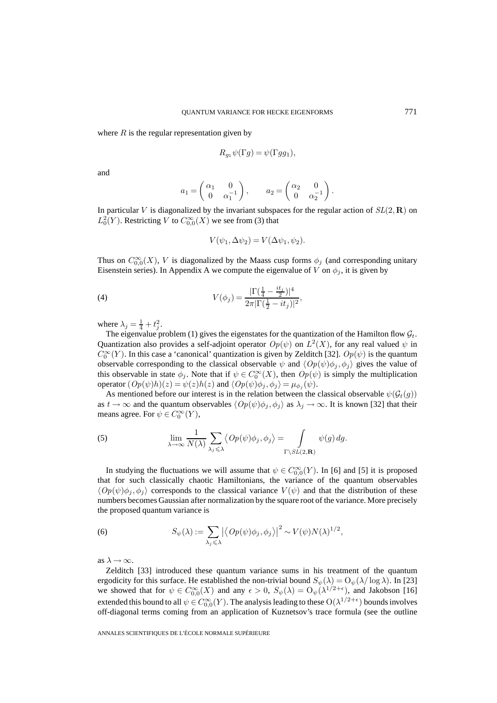where  $R$  is the regular representation given by

$$
R_{g_1}\psi(\Gamma g) = \psi(\Gamma g g_1),
$$

and

$$
a_1 = \begin{pmatrix} \alpha_1 & 0 \\ 0 & \alpha_1^{-1} \end{pmatrix}, \qquad a_2 = \begin{pmatrix} \alpha_2 & 0 \\ 0 & \alpha_2^{-1} \end{pmatrix}.
$$

In particular V is diagonalized by the invariant subspaces for the regular action of  $SL(2,\mathbf{R})$  on  $L_0^2(Y)$ . Restricting V to  $C_{0,0}^{\infty}(X)$  we see from (3) that

$$
V(\psi_1, \Delta \psi_2) = V(\Delta \psi_1, \psi_2).
$$

Thus on  $C_{0,0}^{\infty}(X)$ , V is diagonalized by the Maass cusp forms  $\phi_j$  (and corresponding unitary Eisenstein series). In Appendix A we compute the eigenvalue of V on  $\phi_j$ , it is given by

(4) 
$$
V(\phi_j) = \frac{|\Gamma(\frac{1}{4} - \frac{it_j}{2})|^4}{2\pi |\Gamma(\frac{1}{2} - it_j)|^2},
$$

where  $\lambda_j = \frac{1}{4} + t_j^2$ .

The eigenvalue problem (1) gives the eigenstates for the quantization of the Hamilton flow  $\mathcal{G}_t$ . Quantization also provides a self-adjoint operator  $Op(\psi)$  on  $L^2(X)$ , for any real valued  $\psi$  in  $C_0^{\infty}(Y)$ . In this case a 'canonical' quantization is given by Zelditch [32].  $Op(\psi)$  is the quantum observable corresponding to the classical observable  $\psi$  and  $\langle Op(\psi)\phi_j, \phi_j \rangle$  gives the value of this observable in state  $\phi_j$ . Note that if  $\psi \in C_0^{\infty}(X)$ , then  $Op(\psi)$  is simply the multiplication operator  $(\mathit{Op}(\psi)h)(z) = \psi(z)h(z)$  and  $\langle \mathit{Op}(\psi)\phi_j,\phi_j\rangle = \mu_{\phi_j}(\psi)$ .

As mentioned before our interest is in the relation between the classical observable  $\psi(\mathcal{G}_t(g))$ as  $t \to \infty$  and the quantum observables  $\langle Op(\psi)\phi_j, \phi_j \rangle$  as  $\lambda_j \to \infty$ . It is known [32] that their means agree. For  $\psi \in C_0^{\infty}(Y)$ ,

(5) 
$$
\lim_{\lambda \to \infty} \frac{1}{N(\lambda)} \sum_{\lambda_j \leq \lambda} \langle Op(\psi)\phi_j, \phi_j \rangle = \int_{\Gamma \backslash SL(2,\mathbf{R})} \psi(g) \, dg.
$$

In studying the fluctuations we will assume that  $\psi \in C_{0,0}^{\infty}(Y)$ . In [6] and [5] it is proposed that for such classically chaotic Hamiltonians, the variance of the quantum observables  $\langle Op(\psi)\phi_i, \phi_i \rangle$  corresponds to the classical variance  $V(\psi)$  and that the distribution of these numbers becomes Gaussian after normalization by the square root of the variance. More precisely the proposed quantum variance is

(6) 
$$
S_{\psi}(\lambda) := \sum_{\lambda_j \leqslant \lambda} \left| \left\langle Op(\psi)\phi_j, \phi_j \right\rangle \right|^2 \sim V(\psi)N(\lambda)^{1/2},
$$

as  $\lambda \rightarrow \infty$ .

Zelditch [33] introduced these quantum variance sums in his treatment of the quantum ergodicity for this surface. He established the non-trivial bound  $S_{\psi}(\lambda) = O_{\psi}(\lambda/\log \lambda)$ . In [23] we showed that for  $\psi \in C_{0,0}^{\infty}(X)$  and any  $\epsilon > 0$ ,  $S_{\psi}(\lambda) = O_{\psi}(\lambda^{1/2+\epsilon})$ , and Jakobson [16] extended this bound to all  $\psi \in C_{0,0}^{\infty}(Y)$ . The analysis leading to these  $\mathrm{O}(\lambda^{1/2+\epsilon})$  bounds involves off-diagonal terms coming from an application of Kuznetsov's trace formula (see the outline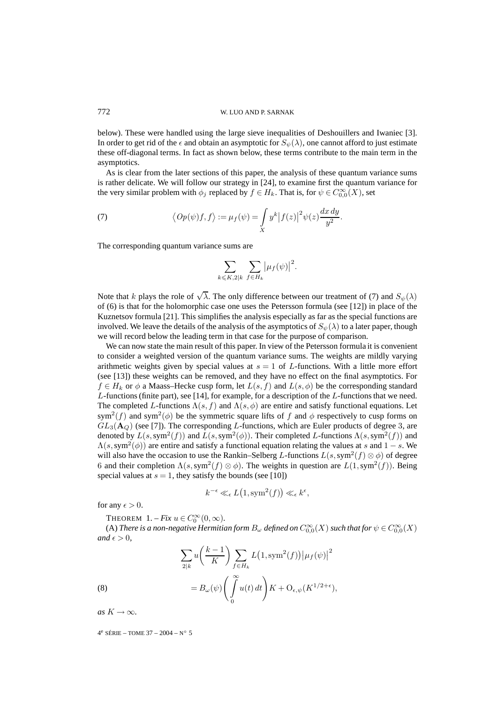below). These were handled using the large sieve inequalities of Deshouillers and Iwaniec [3]. In order to get rid of the  $\epsilon$  and obtain an asymptotic for  $S_\psi(\lambda)$ , one cannot afford to just estimate these off-diagonal terms. In fact as shown below, these terms contribute to the main term in the asymptotics.

As is clear from the later sections of this paper, the analysis of these quantum variance sums is rather delicate. We will follow our strategy in [24], to examine first the quantum variance for the very similar problem with  $\phi_j$  replaced by  $f \in H_k$ . That is, for  $\psi \in C_{0,0}^{\infty}(X)$ , set

(7) 
$$
\langle Op(\psi)f, f \rangle := \mu_f(\psi) = \int_X y^k |f(z)|^2 \psi(z) \frac{dx \, dy}{y^2}.
$$

The corresponding quantum variance sums are

$$
\sum_{k \leqslant K, 2|k} \sum_{f \in H_k} \big| \mu_f(\psi) \big|^2.
$$

Note that k plays the role of  $\sqrt{\lambda}$ . The only difference between our treatment of (7) and  $S_{\psi}(\lambda)$ of (6) is that for the holomorphic case one uses the Petersson formula (see [12]) in place of the Kuznetsov formula [21]. This simplifies the analysis especially as far as the special functions are involved. We leave the details of the analysis of the asymptotics of  $S_{\psi}(\lambda)$  to a later paper, though we will record below the leading term in that case for the purpose of comparison.

We can now state the main result of this paper. In view of the Petersson formula it is convenient to consider a weighted version of the quantum variance sums. The weights are mildly varying arithmetic weights given by special values at  $s = 1$  of L-functions. With a little more effort (see [13]) these weights can be removed, and they have no effect on the final asymptotics. For  $f \in H_k$  or  $\phi$  a Maass–Hecke cusp form, let  $L(s, f)$  and  $L(s, \phi)$  be the corresponding standard L-functions (finite part), see [14], for example, for a description of the L-functions that we need. The completed L-functions  $\Lambda(s, f)$  and  $\Lambda(s, \phi)$  are entire and satisfy functional equations. Let sym<sup>2</sup>(f) and sym<sup>2</sup>( $\phi$ ) be the symmetric square lifts of f and  $\phi$  respectively to cusp forms on  $GL_3(A<sub>Q</sub>)$  (see [7]). The corresponding L-functions, which are Euler products of degree 3, are denoted by  $L(s, sym^2(f))$  and  $L(s, sym^2(\phi))$ . Their completed L-functions  $\Lambda(s, sym^2(f))$  and  $\Lambda(s, \text{sym}^2(\phi))$  are entire and satisfy a functional equation relating the values at s and  $1 - s$ . We will also have the occasion to use the Rankin–Selberg L-functions  $L(s, sym^2(f) \otimes \phi)$  of degree 6 and their completion  $\Lambda(s, sym^2(f) \otimes \phi)$ . The weights in question are  $L(1, sym^2(f))$ . Being special values at  $s = 1$ , they satisfy the bounds (see [10])

$$
k^{-\epsilon} \ll_{\epsilon} L(1, \text{sym}^2(f)) \ll_{\epsilon} k^{\epsilon},
$$

for any  $\epsilon > 0$ .

THEOREM  $1. - Fix u \in C_0^{\infty}(0, \infty)$ .

(A) *There is a non-negative Hermitian form*  $B_\omega$  *defined on*  $C^\infty_{0,0}(X)$  *such that for*  $\psi\in C^\infty_{0,0}(X)$ *and*  $\epsilon > 0$ *,* 

(8)  
\n
$$
\sum_{2|k} u\left(\frac{k-1}{K}\right) \sum_{f \in H_k} L\left(1, \text{sym}^2(f)\right) \left|\mu_f(\psi)\right|^2
$$
\n
$$
= B_{\omega}(\psi) \left(\int_0^\infty u(t) \, dt\right) K + O_{\epsilon, \psi}(K^{1/2 + \epsilon}),
$$

0

$$
\mathcal{L}_{\omega(\gamma)}(x)
$$

*as*  $K \to \infty$ *.*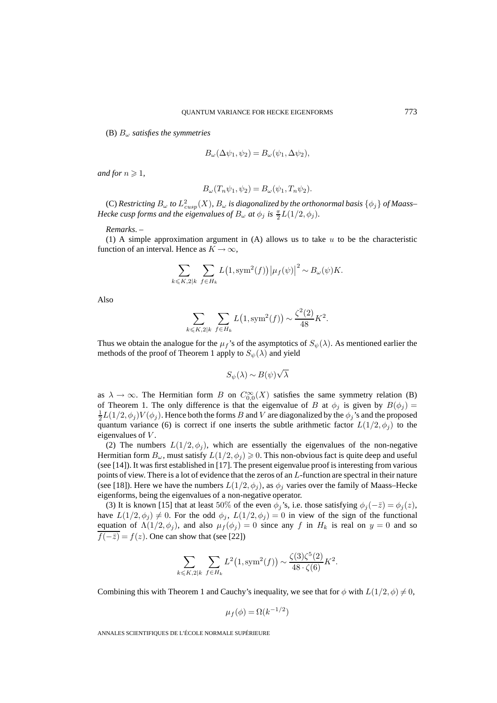(B) B<sup>ω</sup> *satisfies the symmetries*

$$
B_{\omega}(\Delta \psi_1, \psi_2) = B_{\omega}(\psi_1, \Delta \psi_2),
$$

*and for*  $n \ge 1$ *,* 

$$
B_{\omega}(T_n\psi_1,\psi_2) = B_{\omega}(\psi_1,T_n\psi_2).
$$

(C)  $\emph{Restricting } B_\omega$  to  $L^2_{cusp}(X)$ ,  $B_\omega$  is diagonalized by the orthonormal basis  $\{\phi_j\}$  of Maass– *Hecke cusp forms and the eigenvalues of*  $B_{\omega}$  *at*  $\phi_j$  *is*  $\frac{\pi}{2}L(1/2, \phi_j)$ *.* 

*Remarks*. –

(1) A simple approximation argument in  $(A)$  allows us to take u to be the characteristic function of an interval. Hence as  $K \to \infty$ ,

$$
\sum_{k \leq K, 2|k} \sum_{f \in H_k} L(1, \text{sym}^2(f)) |\mu_f(\psi)|^2 \sim B_{\omega}(\psi) K.
$$

Also

$$
\sum_{k \leq K, 2|k} \sum_{f \in H_k} L(1, \text{sym}^2(f)) \sim \frac{\zeta^2(2)}{48} K^2.
$$

Thus we obtain the analogue for the  $\mu_f$ 's of the asymptotics of  $S_\psi(\lambda)$ . As mentioned earlier the methods of the proof of Theorem 1 apply to  $S_{\psi}(\lambda)$  and yield

$$
S_{\psi}(\lambda) \sim B(\psi)\sqrt{\lambda}
$$

as  $\lambda \to \infty$ . The Hermitian form B on  $C_{0,0}^{\infty}(X)$  satisfies the same symmetry relation (B) of Theorem 1. The only difference is that the eigenvalue of B at  $\phi_j$  is given by  $B(\phi_j) =$  $\frac{1}{2}L(1/2,\phi_j)V(\phi_j)$ . Hence both the forms  $B$  and  $V$  are diagonalized by the  $\phi_j$ 's and the proposed quantum variance (6) is correct if one inserts the subtle arithmetic factor  $L(1/2, \phi_i)$  to the eigenvalues of V.

(2) The numbers  $L(1/2, \phi_j)$ , which are essentially the eigenvalues of the non-negative Hermitian form  $B_{\omega}$ , must satisfy  $L(1/2, \phi_i) \geq 0$ . This non-obvious fact is quite deep and useful (see [14]). It was first established in [17]. The present eigenvalue proof is interesting from various points of view. There is a lot of evidence that the zeros of an L-function are spectral in their nature (see [18]). Here we have the numbers  $L(1/2, \phi_i)$ , as  $\phi_i$  varies over the family of Maass–Hecke eigenforms, being the eigenvalues of a non-negative operator.

(3) It is known [15] that at least 50% of the even  $\phi_i$ 's, i.e. those satisfying  $\phi_i(-\bar{z}) = \phi_i(z)$ , have  $L(1/2, \phi_j) \neq 0$ . For the odd  $\phi_j$ ,  $L(1/2, \phi_j) = 0$  in view of the sign of the functional equation of  $\Lambda(1/2, \phi_i)$ , and also  $\mu_f(\phi_i) = 0$  since any f in  $H_k$  is real on  $y = 0$  and so  $\overline{f(-\overline{z})} = f(z)$ . One can show that (see [22])

$$
\sum_{k \leq K, 2|k} \sum_{f \in H_k} L^2(1, \text{sym}^2(f)) \sim \frac{\zeta(3)\zeta^5(2)}{48 \cdot \zeta(6)} K^2.
$$

Combining this with Theorem 1 and Cauchy's inequality, we see that for  $\phi$  with  $L(1/2, \phi) \neq 0$ ,

$$
\mu_f(\phi) = \Omega(k^{-1/2})
$$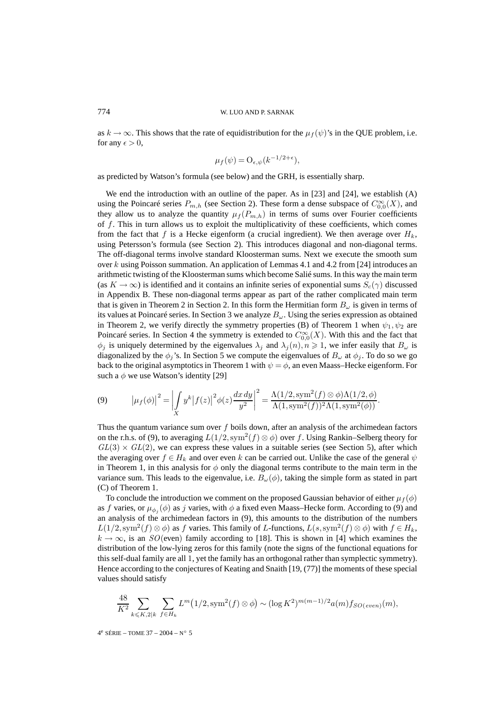as  $k \to \infty$ . This shows that the rate of equidistribution for the  $\mu_f(\psi)$ 's in the QUE problem, i.e. for any  $\epsilon > 0$ ,

$$
\mu_f(\psi) = O_{\epsilon, \psi}(k^{-1/2 + \epsilon}),
$$

as predicted by Watson's formula (see below) and the GRH, is essentially sharp.

We end the introduction with an outline of the paper. As in [23] and [24], we establish (A) using the Poincaré series  $P_{m,h}$  (see Section 2). These form a dense subspace of  $C_{0,0}^{\infty}(X)$ , and they allow us to analyze the quantity  $\mu_f(P_{m,h})$  in terms of sums over Fourier coefficients of  $f$ . This in turn allows us to exploit the multiplicativity of these coefficients, which comes from the fact that f is a Hecke eigenform (a crucial ingredient). We then average over  $H_k$ , using Petersson's formula (see Section 2). This introduces diagonal and non-diagonal terms. The off-diagonal terms involve standard Kloosterman sums. Next we execute the smooth sum over k using Poisson summation. An application of Lemmas 4.1 and 4.2 from [24] introduces an arithmetic twisting of the Kloosterman sums which become Salié sums. In this way the main term (as  $K \to \infty$ ) is identified and it contains an infinite series of exponential sums  $S_c(\gamma)$  discussed in Appendix B. These non-diagonal terms appear as part of the rather complicated main term that is given in Theorem 2 in Section 2. In this form the Hermitian form  $B_{\omega}$  is given in terms of its values at Poincaré series. In Section 3 we analyze  $B_{\omega}$ . Using the series expression as obtained in Theorem 2, we verify directly the symmetry properties (B) of Theorem 1 when  $\psi_1, \psi_2$  are Poincaré series. In Section 4 the symmetry is extended to  $C_{0,0}^{\infty}(X)$ . With this and the fact that  $\phi_j$  is uniquely determined by the eigenvalues  $\lambda_j$  and  $\lambda_j(n), n \geq 1$ , we infer easily that  $B_\omega$  is diagonalized by the  $\phi_j$ 's. In Section 5 we compute the eigenvalues of  $B_\omega$  at  $\phi_j$ . To do so we go back to the original asymptotics in Theorem 1 with  $\psi = \phi$ , an even Maass–Hecke eigenform. For such a  $\phi$  we use Watson's identity [29]

(9) 
$$
\left|\mu_f(\phi)\right|^2 = \left|\int_X y^k \left|f(z)\right|^2 \phi(z) \frac{dx \, dy}{y^2}\right|^2 = \frac{\Lambda(1/2, \text{sym}^2(f) \otimes \phi) \Lambda(1/2, \phi)}{\Lambda(1, \text{sym}^2(f))^2 \Lambda(1, \text{sym}^2(\phi))}.
$$

Thus the quantum variance sum over  $f$  boils down, after an analysis of the archimedean factors on the r.h.s. of (9), to averaging  $L(1/2, \text{sym}^2(f) \otimes \phi)$  over f. Using Rankin–Selberg theory for  $GL(3) \times GL(2)$ , we can express these values in a suitable series (see Section 5), after which the averaging over  $f \in H_k$  and over even k can be carried out. Unlike the case of the general  $\psi$ in Theorem 1, in this analysis for  $\phi$  only the diagonal terms contribute to the main term in the variance sum. This leads to the eigenvalue, i.e.  $B_{\omega}(\phi)$ , taking the simple form as stated in part (C) of Theorem 1.

To conclude the introduction we comment on the proposed Gaussian behavior of either  $\mu_f(\phi)$ as f varies, or  $\mu_{\phi_i}(\phi)$  as j varies, with  $\phi$  a fixed even Maass–Hecke form. According to (9) and an analysis of the archimedean factors in (9), this amounts to the distribution of the numbers  $L(1/2, \text{sym}^2(f) \otimes \phi)$  as f varies. This family of L-functions,  $L(s, \text{sym}^2(f) \otimes \phi)$  with  $f \in H_k$ ,  $k \to \infty$ , is an  $SO(\text{even})$  family according to [18]. This is shown in [4] which examines the distribution of the low-lying zeros for this family (note the signs of the functional equations for this self-dual family are all 1, yet the family has an orthogonal rather than symplectic symmetry). Hence according to the conjectures of Keating and Snaith [19, (77)] the moments of these special values should satisfy

$$
\frac{48}{K^2} \sum_{k \leq K, 2|k} \sum_{f \in H_k} L^m(1/2, \text{sym}^2(f) \otimes \phi) \sim (\log K^2)^{m(m-1)/2} a(m) f_{SO(even)}(m),
$$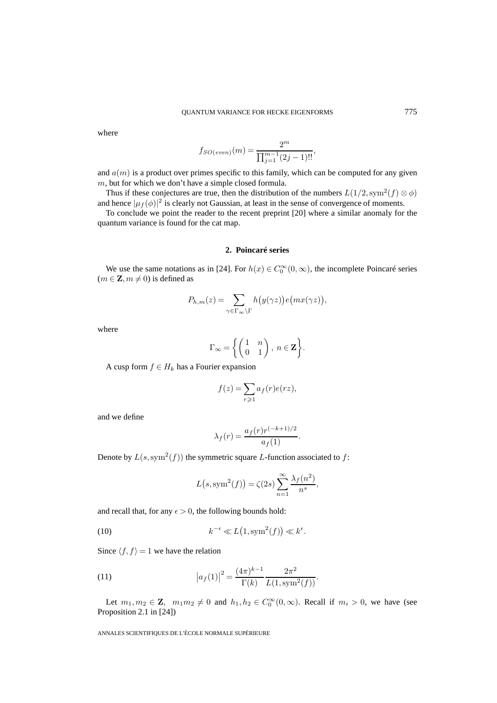where

$$
f_{SO(even)}(m) = \frac{2^m}{\prod_{j=1}^{m-1} (2j-1)!!},
$$

and  $a(m)$  is a product over primes specific to this family, which can be computed for any given m, but for which we don't have a simple closed formula.

Thus if these conjectures are true, then the distribution of the numbers  $L(1/2, \text{sym}^2(f) \otimes \phi)$ and hence  $|\mu_f(\phi)|^2$  is clearly not Gaussian, at least in the sense of convergence of moments.

To conclude we point the reader to the recent preprint [20] where a similar anomaly for the quantum variance is found for the cat map.

## **2. Poincaré series**

We use the same notations as in [24]. For  $h(x) \in C_0^{\infty}(0, \infty)$ , the incomplete Poincaré series  $(m \in \mathbf{Z}, m \neq 0)$  is defined as

$$
P_{h,m}(z) = \sum_{\gamma \in \Gamma_{\infty} \backslash \Gamma} h\big(y(\gamma z)\big) e\big(mx(\gamma z)\big),\,
$$

where

$$
\Gamma_{\infty} = \left\{ \begin{pmatrix} 1 & n \\ 0 & 1 \end{pmatrix}, n \in \mathbf{Z} \right\}.
$$

A cusp form  $f \in H_k$  has a Fourier expansion

$$
f(z) = \sum_{r \geq 1} a_f(r)e(rz),
$$

and we define

$$
\lambda_f(r) = \frac{a_f(r)r^{(-k+1)/2}}{a_f(1)}.
$$

Denote by  $L(s, sym^2(f))$  the symmetric square L-function associated to f:

$$
L(s, \text{sym}^2(f)) = \zeta(2s) \sum_{n=1}^{\infty} \frac{\lambda_f(n^2)}{n^s},
$$

and recall that, for any  $\epsilon > 0$ , the following bounds hold:

(10) 
$$
k^{-\epsilon} \ll L(1, \text{sym}^2(f)) \ll k^{\epsilon}.
$$

Since  $\langle f, f \rangle = 1$  we have the relation

(11) 
$$
\left| a_f(1) \right|^2 = \frac{(4\pi)^{k-1}}{\Gamma(k)} \frac{2\pi^2}{L(1,\text{sym}^2(f))}.
$$

Let  $m_1, m_2 \in \mathbb{Z}$ ,  $m_1 m_2 \neq 0$  and  $h_1, h_2 \in C_0^{\infty}(0, \infty)$ . Recall if  $m_i > 0$ , we have (see Proposition 2.1 in [24])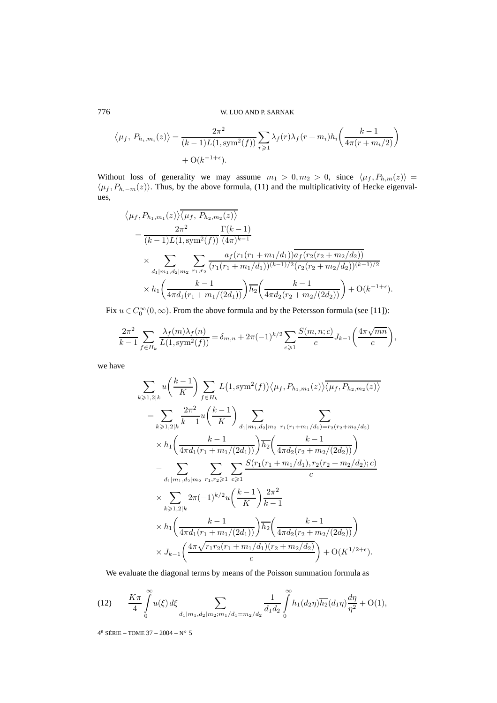$$
\langle \mu_f, P_{h_i, m_i}(z) \rangle = \frac{2\pi^2}{(k-1)L(1, \text{sym}^2(f))} \sum_{r \ge 1} \lambda_f(r) \lambda_f(r+m_i) h_i\left(\frac{k-1}{4\pi(r+m_i/2)}\right) + O(k^{-1+\epsilon}).
$$

Without loss of generality we may assume  $m_1 > 0, m_2 > 0$ , since  $\langle \mu_f, P_{h,m}(z) \rangle =$  $\langle \mu_f, P_{h,-m}(z) \rangle$ . Thus, by the above formula, (11) and the multiplicativity of Hecke eigenvalues,

$$
\langle \mu_f, P_{h_1, m_1}(z) \rangle \overline{\langle \mu_f, P_{h_2, m_2}(z) \rangle}
$$
\n
$$
= \frac{2\pi^2}{(k-1)L(1, \text{sym}^2(f))} \frac{\Gamma(k-1)}{(4\pi)^{k-1}}
$$
\n
$$
\times \sum_{d_1 | m_1, d_2 | m_2} \sum_{r_1, r_2} \frac{a_f(r_1(r_1 + m_1/d_1)) \overline{a_f(r_2(r_2 + m_2/d_2))}}{(r_1(r_1 + m_1/d_1))^{(k-1)/2} (r_2(r_2 + m_2/d_2))^{(k-1)/2}}
$$
\n
$$
\times h_1 \left( \frac{k-1}{4\pi d_1(r_1 + m_1/(2d_1))} \right) \overline{h_2} \left( \frac{k-1}{4\pi d_2(r_2 + m_2/(2d_2))} \right) + \mathcal{O}(k^{-1+\epsilon}).
$$

Fix  $u \in C_0^{\infty}(0, \infty)$ . From the above formula and by the Petersson formula (see [11]):

$$
\frac{2\pi^2}{k-1} \sum_{f \in H_k} \frac{\lambda_f(m)\lambda_f(n)}{L(1,\text{sym}^2(f))} = \delta_{m,n} + 2\pi (-1)^{k/2} \sum_{c \geqslant 1} \frac{S(m,n;c)}{c} J_{k-1}\left(\frac{4\pi\sqrt{mn}}{c}\right),
$$

we have

$$
\sum_{k\geqslant 1,2|k} u\left(\frac{k-1}{K}\right) \sum_{f\in H_k} L(1, \text{sym}^2(f)) \langle \mu_f, P_{h_1,m_1}(z) \rangle \overline{\langle \mu_f, P_{h_2,m_2}(z) \rangle}
$$
\n
$$
= \sum_{k\geqslant 1,2|k} \frac{2\pi^2}{k-1} u\left(\frac{k-1}{K}\right) \sum_{d_1|m_1,d_2|m_2} \sum_{r_1(r_1+m_1/d_1)=r_2(r_2+m_2/d_2)} \times h_1\left(\frac{k-1}{4\pi d_1(r_1+m_1/(2d_1))}\right) \overline{h_2}\left(\frac{k-1}{4\pi d_2(r_2+m_2/(2d_2))}\right)
$$
\n
$$
- \sum_{d_1|m_1,d_2|m_2} \sum_{r_1,r_2\geqslant 1} \sum_{c\geqslant 1} \frac{S(r_1(r_1+m_1/d_1), r_2(r_2+m_2/d_2); c)}{c} \times \sum_{k\geqslant 1,2|k} 2\pi (-1)^{k/2} u\left(\frac{k-1}{K}\right) \frac{2\pi^2}{k-1}
$$
\n
$$
\times h_1\left(\frac{k-1}{4\pi d_1(r_1+m_1/(2d_1))}\right) \overline{h_2}\left(\frac{k-1}{4\pi d_2(r_2+m_2/(2d_2))}\right)
$$
\n
$$
\times J_{k-1}\left(\frac{4\pi \sqrt{r_1 r_2(r_1+m_1/d_1)(r_2+m_2/d_2)}}{c}\right) + O(K^{1/2+\epsilon}).
$$

We evaluate the diagonal terms by means of the Poisson summation formula as

(12) 
$$
\frac{K\pi}{4} \int_{0}^{\infty} u(\xi) d\xi \sum_{d_1|m_1, d_2|m_2; m_1/d_1 = m_2/d_2} \frac{1}{d_1 d_2} \int_{0}^{\infty} h_1(d_2 \eta) \overline{h_2}(d_1 \eta) \frac{d\eta}{\eta^2} + O(1),
$$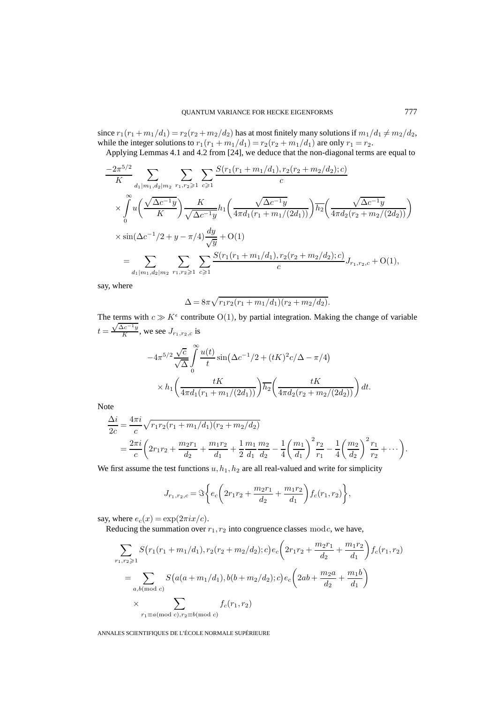since  $r_1(r_1+m_1/d_1) = r_2(r_2+m_2/d_2)$  has at most finitely many solutions if  $m_1/d_1 \neq m_2/d_2$ , while the integer solutions to  $r_1(r_1 + m_1/d_1) = r_2(r_2 + m_1/d_1)$  are only  $r_1 = r_2$ .

Applying Lemmas 4.1 and 4.2 from [24], we deduce that the non-diagonal terms are equal to

$$
\frac{-2\pi^{5/2}}{K} \sum_{d_1|m_1,d_2|m_2} \sum_{r_1,r_2 \geqslant 1} \sum_{c \geqslant 1} \frac{S(r_1(r_1+m_1/d_1),r_2(r_2+m_2/d_2);c)}{c}
$$
\n
$$
\times \int_0^\infty u\left(\frac{\sqrt{\Delta c^{-1}y}}{K}\right) \frac{K}{\sqrt{\Delta c^{-1}y}} h_1\left(\frac{\sqrt{\Delta c^{-1}y}}{4\pi d_1(r_1+m_1/(2d_1))}\right) \overline{h_2}\left(\frac{\sqrt{\Delta c^{-1}y}}{4\pi d_2(r_2+m_2/(2d_2))}\right)
$$
\n
$$
\times \sin(\Delta c^{-1}/2 + y - \pi/4) \frac{dy}{\sqrt{y}} + O(1)
$$
\n
$$
= \sum_{d_1|m_1,d_2|m_2} \sum_{r_1,r_2 \geqslant 1} \sum_{c \geqslant 1} \frac{S(r_1(r_1+m_1/d_1),r_2(r_2+m_2/d_2);c)}{c} J_{r_1,r_2,c} + O(1),
$$

say, where

$$
\Delta = 8\pi \sqrt{r_1 r_2 (r_1 + m_1/d_1)(r_2 + m_2/d_2)}.
$$

The terms with  $c \gg K^{\epsilon}$  contribute  $O(1)$ , by partial integration. Making the change of variable The terms w<br> $t = \frac{\sqrt{\Delta c^{-1}y}}{K}$  $\frac{Xc - y}{K}$ , we see  $J_{r_1, r_2, c}$  is

$$
-4\pi^{5/2} \frac{\sqrt{c}}{\sqrt{\Delta}} \int_{0}^{\infty} \frac{u(t)}{t} \sin(\Delta c^{-1}/2 + (tK)^{2} c/\Delta - \pi/4)
$$
  
 
$$
\times h_{1}\left(\frac{tK}{4\pi d_{1}(r_{1} + m_{1}/(2d_{1}))}\right) \overline{h_{2}}\left(\frac{tK}{4\pi d_{2}(r_{2} + m_{2}/(2d_{2}))}\right) dt.
$$

Note

$$
\frac{\Delta i}{2c} = \frac{4\pi i}{c} \sqrt{r_1 r_2 (r_1 + m_1/d_1)(r_2 + m_2/d_2)} \n= \frac{2\pi i}{c} \left( 2r_1 r_2 + \frac{m_2 r_1}{d_2} + \frac{m_1 r_2}{d_1} + \frac{1}{2} \frac{m_1}{d_1} \frac{m_2}{d_2} - \frac{1}{4} \left( \frac{m_1}{d_1} \right)^2 \frac{r_2}{r_1} - \frac{1}{4} \left( \frac{m_2}{d_2} \right)^2 \frac{r_1}{r_2} + \cdots \right).
$$

We first assume the test functions  $u, h_1, h_2$  are all real-valued and write for simplicity

$$
J_{r_1,r_2,c} = \Im\bigg\{e_c\bigg(2r_1r_2 + \frac{m_2r_1}{d_2} + \frac{m_1r_2}{d_1}\bigg)f_c(r_1,r_2)\bigg\},\,
$$

say, where  $e_c(x) = \exp(2\pi i x/c)$ .

Reducing the summation over  $r_1, r_2$  into congruence classes  $\text{mod } c$ , we have,

$$
\sum_{r_1, r_2 \geqslant 1} S(r_1(r_1 + m_1/d_1), r_2(r_2 + m_2/d_2); c) e_c \left(2r_1r_2 + \frac{m_2r_1}{d_2} + \frac{m_1r_2}{d_1}\right) f_c(r_1, r_2)
$$
\n
$$
= \sum_{a, b \text{ (mod } c)} S\left(a(a + m_1/d_1), b(b + m_2/d_2); c\right) e_c \left(2ab + \frac{m_2a}{d_2} + \frac{m_1b}{d_1}\right)
$$
\n
$$
\times \sum_{r_1 \equiv a \text{ (mod } c), r_2 \equiv b \text{ (mod } c)} f_c(r_1, r_2)
$$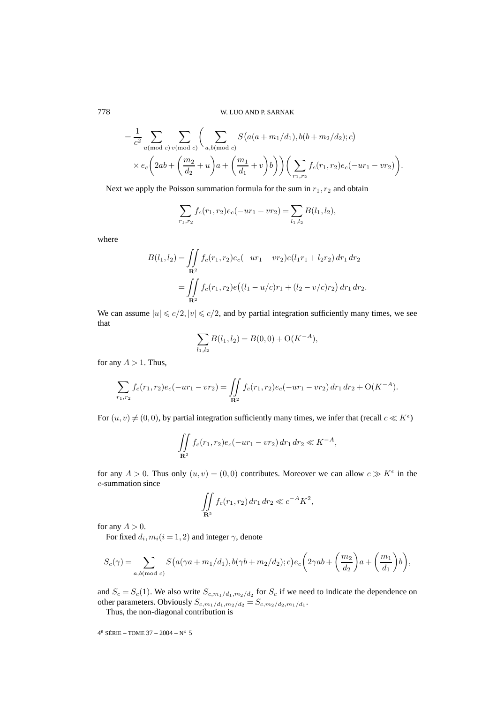$$
= \frac{1}{c^2} \sum_{u \text{ (mod } c)} \sum_{v \text{ (mod } c)} \left( \sum_{a, b \text{ (mod } c)} S(a(a + m_1/d_1), b(b + m_2/d_2); c) \times e_c \left( 2ab + \left( \frac{m_2}{d_2} + u \right) a + \left( \frac{m_1}{d_1} + v \right) b \right) \right) \left( \sum_{r_1, r_2} f_c(r_1, r_2) e_c(-ur_1 - vr_2) \right).
$$

Next we apply the Poisson summation formula for the sum in  $r_1, r_2$  and obtain

$$
\sum_{r_1,r_2} f_c(r_1,r_2)e_c(-ur_1-vr_2) = \sum_{l_1,l_2} B(l_1,l_2),
$$

where

$$
B(l_1, l_2) = \iint_{\mathbf{R}^2} f_c(r_1, r_2) e_c(-ur_1 - vr_2) e(l_1r_1 + l_2r_2) dr_1 dr_2
$$
  
= 
$$
\iint_{\mathbf{R}^2} f_c(r_1, r_2) e((l_1 - u/c)r_1 + (l_2 - v/c)r_2) dr_1 dr_2.
$$

We can assume  $|u| \leq c/2$ ,  $|v| \leq c/2$ , and by partial integration sufficiently many times, we see that

$$
\sum_{l_1,l_2} B(l_1,l_2) = B(0,0) + O(K^{-A}),
$$

for any  $A > 1$ . Thus,

$$
\sum_{r_1,r_2} f_c(r_1,r_2)e_c(-ur_1-vr_2) = \iint_{\mathbf{R}^2} f_c(r_1,r_2)e_c(-ur_1-vr_2) dr_1 dr_2 + O(K^{-A}).
$$

For  $(u, v) \neq (0, 0)$ , by partial integration sufficiently many times, we infer that (recall  $c \ll K^{\epsilon}$ )

$$
\iint\limits_{\mathbf{R}^2} f_c(r_1, r_2) e_c(-ur_1 - vr_2) \, dr_1 \, dr_2 \ll K^{-A},
$$

for any  $A > 0$ . Thus only  $(u, v) = (0, 0)$  contributes. Moreover we can allow  $c \gg K^{\epsilon}$  in the c-summation since

$$
\iint_{\mathbf{R}^2} f_c(r_1, r_2) \, dr_1 \, dr_2 \ll c^{-A} K^2,
$$

for any  $A > 0$ .

For fixed  $d_i, m_i(i = 1, 2)$  and integer  $\gamma$ , denote

$$
S_c(\gamma) = \sum_{a,b \text{ (mod } c)} S\big(a(\gamma a + m_1/d_1), b(\gamma b + m_2/d_2); c\big)e_c\bigg(2\gamma ab + \bigg(\frac{m_2}{d_2}\bigg)a + \bigg(\frac{m_1}{d_1}\bigg)b\bigg),
$$

and  $S_c = S_c(1)$ . We also write  $S_{c,m_1/d_1,m_2/d_2}$  for  $S_c$  if we need to indicate the dependence on other parameters. Obviously  $S_{c,m_1/d_1,m_2/d_2} = S_{c,m_2/d_2,m_1/d_1}$ .

Thus, the non-diagonal contribution is

4<sup>e</sup> SÉRIE – TOME 37 – 2004 – N° 5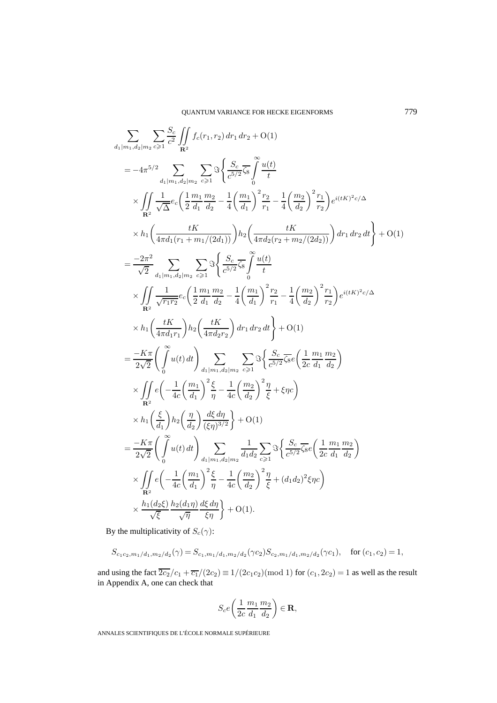$$
\sum_{d_1|m_1,d_2|m_2} \sum_{e\geq 1} \frac{S_e}{c^2} \iint_{\mathbf{R}^2} f_e(r_1,r_2) dr_1 dr_2 + O(1)
$$
\n
$$
= -4\pi^{5/2} \sum_{d_1|m_1,d_2|m_2} \sum_{e\geq 1} \Im \left\{ \frac{S_e}{c^{5/2}} \overline{\hat{S}}_8 \right\} \frac{u(t)}{t}
$$
\n
$$
\times \iint_{\mathbf{R}^2} \frac{1}{\sqrt{\Delta}} e_e \left( \frac{1}{2} \frac{m_1}{d_1} \frac{m_2}{d_2} - \frac{1}{4} \left( \frac{m_1}{d_1} \right)^2 \frac{r_2}{r_1} - \frac{1}{4} \left( \frac{m_2}{d_2} \right)^2 \frac{r_1}{r_2} \right) e^{i(tK)^2 c/\Delta}
$$
\n
$$
\times h_1 \left( \frac{tK}{4\pi d_1 (r_1 + m_1/(2d_1))} \right) h_2 \left( \frac{tK}{4\pi d_2 (r_2 + m_2/(2d_2))} \right) dr_1 dr_2 dt \right\} + O(1)
$$
\n
$$
= \frac{-2\pi^2}{\sqrt{2}} \sum_{d_1|m_1,d_2|m_2} \sum_{e\geq 1} \Im \left\{ \frac{S_e}{c^{5/2}} \overline{\hat{S}}_8 \right\} \frac{u(t)}{t}
$$
\n
$$
\times \iint_{\mathbf{R}^2} \frac{1}{\sqrt{r_1 r_2}} e_e \left( \frac{1}{2} \frac{m_1}{d_1} \frac{m_2}{d_2} - \frac{1}{4} \left( \frac{m_1}{d_1} \right)^2 \frac{r_2}{r_1} - \frac{1}{4} \left( \frac{m_2}{d_2} \right)^2 \frac{r_1}{r_2} \right) e^{i(tK)^2 c/\Delta}
$$
\n
$$
\times h_1 \left( \frac{tK}{4\pi d_1 r_1} \right) h_2 \left( \frac{tK}{4\pi d_2 r_2} \right) dr_1 dr_2 dt \right\} + O(1)
$$
\n
$$
= \frac{-K\pi}{2\sqrt{2}} \left
$$

By the multiplicativity of  $S_c(\gamma)$ :

$$
S_{c_1c_2,m_1/d_1,m_2/d_2}(\gamma) = S_{c_1,m_1/d_1,m_2/d_2}(\gamma c_2) S_{c_2,m_1/d_1,m_2/d_2}(\gamma c_1), \quad \text{for } (c_1,c_2) = 1,
$$

and using the fact  $2c_2/c_1 + \overline{c_1}/(2c_2) \equiv 1/(2c_1c_2) \pmod{1}$  for  $(c_1, 2c_2) = 1$  as well as the result in Appendix A, one can check that

$$
S_{c}e\left(\frac{1}{2c}\frac{m_1}{d_1}\frac{m_2}{d_2}\right) \in \mathbf{R},
$$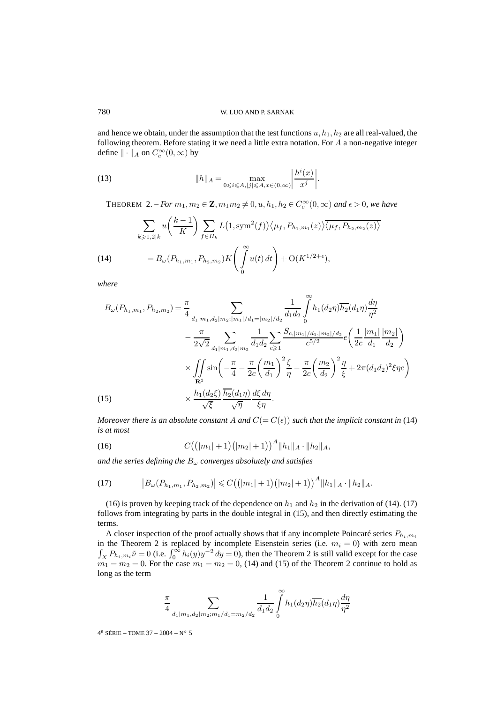and hence we obtain, under the assumption that the test functions  $u, h_1, h_2$  are all real-valued, the following theorem. Before stating it we need a little extra notation. For  $A$  a non-negative integer define  $\|\cdot\|_A$  on  $C_c^{\infty}(0,\infty)$  by

(13) 
$$
||h||_A = \max_{0 \le i \le A, |j| \le A, x \in (0,\infty)} \left| \frac{h^i(x)}{x^j} \right|.
$$

THEOREM 2. – *For*  $m_1, m_2 \in \mathbf{Z}, m_1 m_2 \neq 0, u, h_1, h_2 \in C_c^{\infty}(0, \infty)$  and  $\epsilon > 0$ , we have

(14) 
$$
\sum_{k \ge 1,2|k} u\left(\frac{k-1}{K}\right) \sum_{f \in H_k} L(1, \text{sym}^2(f)) \langle \mu_f, P_{h_1,m_1}(z) \rangle \overline{\langle \mu_f, P_{h_2,m_2}(z) \rangle}
$$

$$
= B_{\omega}(P_{h_1,m_1}, P_{h_2,m_2}) K\left(\int_0^{\infty} u(t) dt\right) + O(K^{1/2+\epsilon}),
$$

*where*

$$
B_{\omega}(P_{h_1,m_1}, P_{h_2,m_2}) = \frac{\pi}{4} \sum_{\substack{d_1|m_1, d_2|m_2; |m_1|/d_1 = |m_2|/d_2}} \frac{1}{d_1 d_2} \int_0^{\infty} h_1(d_2 \eta) \overline{h_2}(d_1 \eta) \frac{d\eta}{\eta^2}
$$
  

$$
- \frac{\pi}{2\sqrt{2}} \sum_{\substack{d_1|m_1, d_2|m_2}} \frac{1}{d_1 d_2} \sum_{c \ge 1} \frac{S_{c,|m_1|/d_1,|m_2|/d_2}}{c^{5/2}} e\left(\frac{1}{2c} \frac{|m_1|}{d_1} \frac{|m_2|}{d_2}\right)
$$
  

$$
\times \iint_{\mathbf{R}^2} \sin\left(-\frac{\pi}{4} - \frac{\pi}{2c} \left(\frac{m_1}{d_1}\right)^2 \frac{\xi}{\eta} - \frac{\pi}{2c} \left(\frac{m_2}{d_2}\right)^2 \frac{\eta}{\xi} + 2\pi (d_1 d_2)^2 \xi \eta c\right)
$$
  

$$
\times \frac{h_1(d_2 \xi)}{\sqrt{\xi}} \frac{\overline{h_2}(d_1 \eta)}{\sqrt{\eta}} \frac{d\xi}{\xi} \frac{d\eta}{\sqrt{\eta}}.
$$

*Moreover there is an absolute constant* A *and*  $C(= C(\epsilon))$  *such that the implicit constant in* (14) *is at most*

(16) 
$$
C((|m_1|+1)(|m_2|+1))^A ||h_1||_A \cdot ||h_2||_A,
$$

*and the series defining the* B<sup>ω</sup> *converges absolutely and satisfies*

(17) 
$$
\left|B_{\omega}(P_{h_1,m_1},P_{h_2,m_2})\right| \leqslant C((|m_1|+1)(|m_2|+1))^{A}||h_1||_A \cdot ||h_2||_A.
$$

(16) is proven by keeping track of the dependence on  $h_1$  and  $h_2$  in the derivation of (14). (17) follows from integrating by parts in the double integral in (15), and then directly estimating the terms.

A closer inspection of the proof actually shows that if any incomplete Poincaré series  $P_{h_i,m_i}$ in the Theorem 2 is replaced by incomplete Eisenstein series (i.e.  $m_i = 0$ ) with zero mean  $\int_X P_{h_i,m_i} \tilde{\nu} = 0$  (i.e.  $\int_0^\infty h_i(y)y^{-2} dy = 0$ ), then the Theorem 2 is still valid except for the case  $m_1 = m_2 = 0$ . For the case  $m_1 = m_2 = 0$ , (14) and (15) of the Theorem 2 continue to hold as long as the term

$$
\frac{\pi}{4} \sum_{d_1|m_1, d_2|m_2; m_1/d_1 = m_2/d_2} \frac{1}{d_1 d_2} \int_0^{\infty} h_1(d_2 \eta) \overline{h_2}(d_1 \eta) \frac{d\eta}{\eta^2}
$$

4<sup>e</sup> SÉRIE – TOME 37 – 2004 – N° 5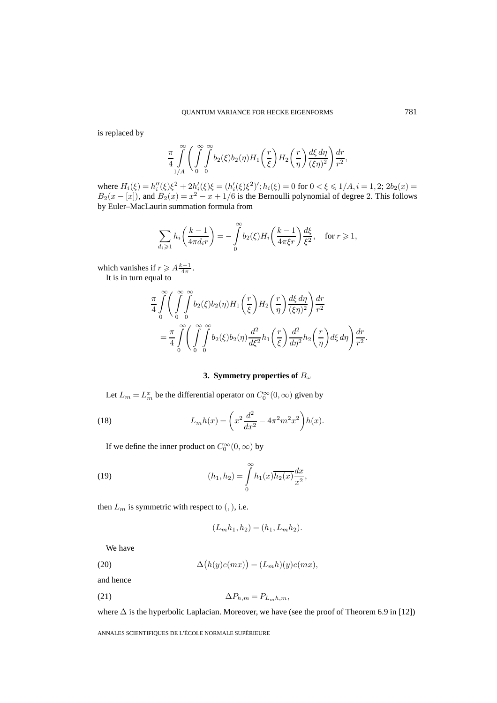is replaced by

$$
\frac{\pi}{4} \int_{1/A}^{\infty} \left( \int_{0}^{\infty} \int_{0}^{\infty} b_2(\xi) b_2(\eta) H_1\left(\frac{r}{\xi}\right) H_2\left(\frac{r}{\eta}\right) \frac{d\xi d\eta}{(\xi \eta)^2} \right) \frac{dr}{r^2},
$$

where  $H_i(\xi) = h''_i(\xi)\xi^2 + 2h'_i(\xi)\xi = (h'_i(\xi)\xi^2)'$ ;  $h_i(\xi) = 0$  for  $0 < \xi \le 1/A$ ,  $i = 1, 2$ ;  $2b_2(x) =$  $B_2(x - [x])$ , and  $B_2(x) = x^2 - x + 1/6$  is the Bernoulli polynomial of degree 2. This follows by Euler–MacLaurin summation formula from

$$
\sum_{d_i\geqslant 1}h_i\bigg(\frac{k-1}{4\pi d_i r}\bigg)=-\int\limits_0^\infty b_2(\xi)H_i\bigg(\frac{k-1}{4\pi \xi r}\bigg)\frac{d\xi}{\xi^2},\quad \text{for }r\geqslant 1,
$$

which vanishes if  $r \geqslant A \frac{k-1}{4\pi}$ .

It is in turn equal to

$$
\frac{\pi}{4} \int_{0}^{\infty} \left( \int_{0}^{\infty} \int_{0}^{\infty} b_2(\xi) b_2(\eta) H_1\left(\frac{r}{\xi}\right) H_2\left(\frac{r}{\eta}\right) \frac{d\xi d\eta}{(\xi \eta)^2} \right) \frac{dr}{r^2}
$$
\n
$$
= \frac{\pi}{4} \int_{0}^{\infty} \left( \int_{0}^{\infty} \int_{0}^{\infty} b_2(\xi) b_2(\eta) \frac{d^2}{d\xi^2} h_1\left(\frac{r}{\xi}\right) \frac{d^2}{d\eta^2} h_2\left(\frac{r}{\eta}\right) d\xi d\eta \right) \frac{dr}{r^2}.
$$

# **3. Symmetry properties of** B<sup>ω</sup>

Let  $L_m = L_m^x$  be the differential operator on  $C_0^{\infty}(0, \infty)$  given by

(18) 
$$
L_m h(x) = \left(x^2 \frac{d^2}{dx^2} - 4\pi^2 m^2 x^2\right) h(x).
$$

If we define the inner product on  $C_0^{\infty}(0, \infty)$  by

(19) 
$$
(h_1, h_2) = \int_{0}^{\infty} h_1(x) \overline{h_2(x)} \frac{dx}{x^2},
$$

then  $L_m$  is symmetric with respect to  $(,)$ , i.e.

$$
(L_m h_1, h_2) = (h_1, L_m h_2).
$$

We have

(20) 
$$
\Delta(h(y)e(mx)) = (L_m h)(y)e(mx),
$$

and hence

$$
\Delta P_{h,m} = P_{L_m h,m},
$$

where  $\Delta$  is the hyperbolic Laplacian. Moreover, we have (see the proof of Theorem 6.9 in [12])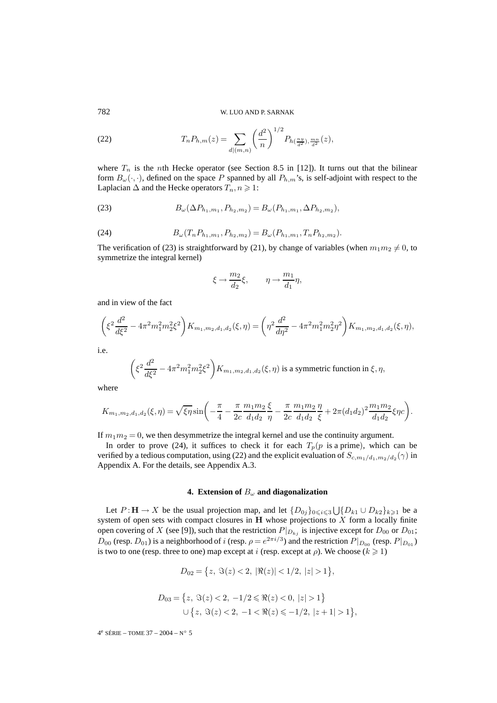782 W. LUO AND P. SARNAK

(22) 
$$
T_n P_{h,m}(z) = \sum_{d|(m,n)} \left(\frac{d^2}{n}\right)^{1/2} P_{h(\frac{ny}{d^2}),\frac{mn}{d^2}}(z),
$$

where  $T_n$  is the nth Hecke operator (see Section 8.5 in [12]). It turns out that the bilinear form  $B_{\omega}(\cdot,\cdot)$ , defined on the space P spanned by all  $P_{h,m}$ 's, is self-adjoint with respect to the Laplacian  $\Delta$  and the Hecke operators  $T_n, n \geq 1$ :

(23) 
$$
B_{\omega}(\Delta P_{h_1,m_1}, P_{h_2,m_2}) = B_{\omega}(P_{h_1,m_1}, \Delta P_{h_2,m_2}),
$$

(24) 
$$
B_{\omega}(T_n P_{h_1,m_1}, P_{h_2,m_2}) = B_{\omega}(P_{h_1,m_1}, T_n P_{h_2,m_2}).
$$

The verification of (23) is straightforward by (21), by change of variables (when  $m_1m_2 \neq 0$ , to symmetrize the integral kernel)

$$
\xi \to \frac{m_2}{d_2} \xi, \qquad \eta \to \frac{m_1}{d_1} \eta,
$$

and in view of the fact

$$
\left(\xi^2 \frac{d^2}{d\xi^2} - 4\pi^2 m_1^2 m_2^2 \xi^2\right) K_{m_1, m_2, d_1, d_2}(\xi, \eta) = \left(\eta^2 \frac{d^2}{d\eta^2} - 4\pi^2 m_1^2 m_2^2 \eta^2\right) K_{m_1, m_2, d_1, d_2}(\xi, \eta),
$$

i.e.

$$
\left(\xi^2 \frac{d^2}{d\xi^2} - 4\pi^2 m_1^2 m_2^2 \xi^2\right) K_{m_1, m_2, d_1, d_2}(\xi, \eta)
$$
 is a symmetric function in  $\xi, \eta$ ,

where

$$
K_{m_1,m_2,d_1,d_2}(\xi,\eta) = \sqrt{\xi\eta} \sin\left(-\frac{\pi}{4} - \frac{\pi}{2c} \frac{m_1m_2}{d_1d_2} \frac{\xi}{\eta} - \frac{\pi}{2c} \frac{m_1m_2}{d_1d_2} \frac{\eta}{\xi} + 2\pi (d_1d_2)^2 \frac{m_1m_2}{d_1d_2} \xi\eta c\right).
$$

If  $m_1m_2 = 0$ , we then desymmetrize the integral kernel and use the continuity argument.

In order to prove (24), it suffices to check it for each  $T_p(p)$  is a prime), which can be verified by a tedious computation, using (22) and the explicit evaluation of  $S_{c,m_1/d_1,m_2/d_2}(\gamma)$  in Appendix A. For the details, see Appendix A.3.

## **4. Extension of**  $B_{\omega}$  and diagonalization

Let  $P: \mathbf{H} \to X$  be the usual projection map, and let  $\{D_{0j}\}_{0 \leq i \leq 3} \bigcup \{D_{k1} \cup D_{k2}\}_{k \geq 1}$  be a system of open sets with compact closures in **H** whose projections to X form a locally finite open covering of X (see [9]), such that the restriction  $P|_{D_{kj}}$  is injective except for  $D_{00}$  or  $D_{01}$ ;  $D_{00}$  (resp.  $D_{01}$ ) is a neighborhood of i (resp.  $\rho = e^{2\pi i/3}$ ) and the restriction  $P|_{D_{00}}$  (resp.  $P|_{D_{01}}$ ) is two to one (resp. three to one) map except at i (resp. except at  $\rho$ ). We choose ( $k \ge 1$ )

$$
D_{02} = \{z, \ \Im(z) < 2, \ |\Re(z)| < 1/2, \ |z| > 1\},\
$$

$$
D_{03} = \{ z, \Im(z) < 2, \ -1/2 \leq \Re(z) < 0, \ |z| > 1 \}
$$
\n
$$
\cup \{ z, \ \Im(z) < 2, \ -1 < \Re(z) \leq -1/2, \ |z + 1| > 1 \},
$$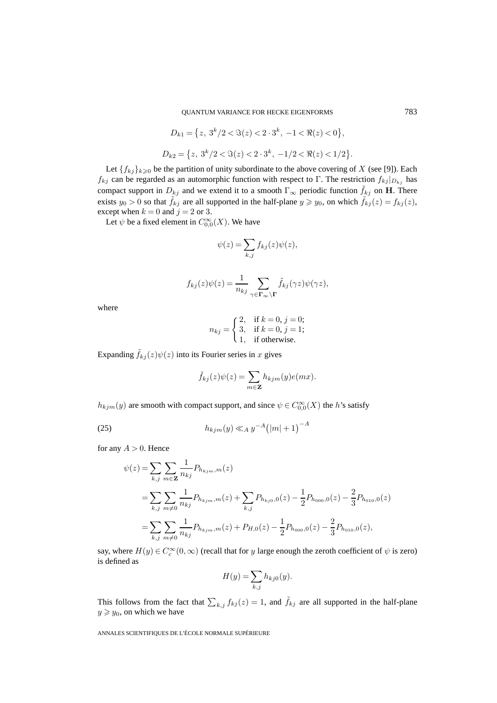$$
D_{k1} = \{z, 3^k/2 < \Im(z) < 2 \cdot 3^k, -1 < \Re(z) < 0\},
$$
  

$$
D_{k2} = \{z, 3^k/2 < \Im(z) < 2 \cdot 3^k, -1/2 < \Re(z) < 1/2\}.
$$

Let  $\{f_{kj}\}_{k\geq 0}$  be the partition of unity subordinate to the above covering of X (see [9]). Each  $f_{kj}$  can be regarded as an automorphic function with respect to Γ. The restriction  $f_{kj}|_{D_{kj}}$  has compact support in  $D_{kj}$  and we extend it to a smooth  $\Gamma_{\infty}$  periodic function  $\tilde{f}_{kj}$  on **H**. There exists  $y_0 > 0$  so that  $\tilde{f}_{kj}$  are all supported in the half-plane  $y \geq y_0$ , on which  $\tilde{f}_{kj}(z) = f_{kj}(z)$ , except when  $k = 0$  and  $j = 2$  or 3.

Let  $\psi$  be a fixed element in  $C^{\infty}_{0,0}(X)$ . We have

$$
\psi(z) = \sum_{k,j} f_{kj}(z)\psi(z),
$$

$$
f_{kj}(z)\psi(z) = \frac{1}{n_{kj}} \sum_{\gamma \in \Gamma_{\infty} \backslash \Gamma} \tilde{f}_{kj}(\gamma z)\psi(\gamma z),
$$

where

$$
n_{kj} = \begin{cases} 2, & \text{if } k = 0, j = 0; \\ 3, & \text{if } k = 0, j = 1; \\ 1, & \text{if otherwise.} \end{cases}
$$

Expanding  $\tilde{f}_{kj}(z)\psi(z)$  into its Fourier series in x gives

$$
\tilde{f}_{kj}(z)\psi(z) = \sum_{m \in \mathbf{Z}} h_{kjm}(y)e(mx).
$$

 $h_{kjm}(y)$  are smooth with compact support, and since  $\psi \in C^{\infty}_{0,0}(X)$  the h's satisfy

(25) 
$$
h_{kjm}(y) \ll_A y^{-A} (|m|+1)^{-A}
$$

for any  $A > 0$ . Hence

$$
\psi(z) = \sum_{k,j} \sum_{m \in \mathbf{Z}} \frac{1}{n_{kj}} P_{h_{kjm},m}(z)
$$
  
= 
$$
\sum_{k,j} \sum_{m \neq 0} \frac{1}{n_{kj}} P_{h_{kjm},m}(z) + \sum_{k,j} P_{h_{kj0},0}(z) - \frac{1}{2} P_{h_{000},0}(z) - \frac{2}{3} P_{h_{010},0}(z)
$$
  
= 
$$
\sum_{k,j} \sum_{m \neq 0} \frac{1}{n_{kj}} P_{h_{kjm},m}(z) + P_{H,0}(z) - \frac{1}{2} P_{h_{000},0}(z) - \frac{2}{3} P_{h_{010},0}(z),
$$

say, where  $H(y) \in C_c^{\infty}(0, \infty)$  (recall that for y large enough the zeroth coefficient of  $\psi$  is zero) is defined as

$$
H(y) = \sum_{k,j} h_{kj0}(y).
$$

This follows from the fact that  $\sum_{k,j} f_{kj}(z)=1$ , and  $\tilde{f}_{kj}$  are all supported in the half-plane  $y \geq y_0$ , on which we have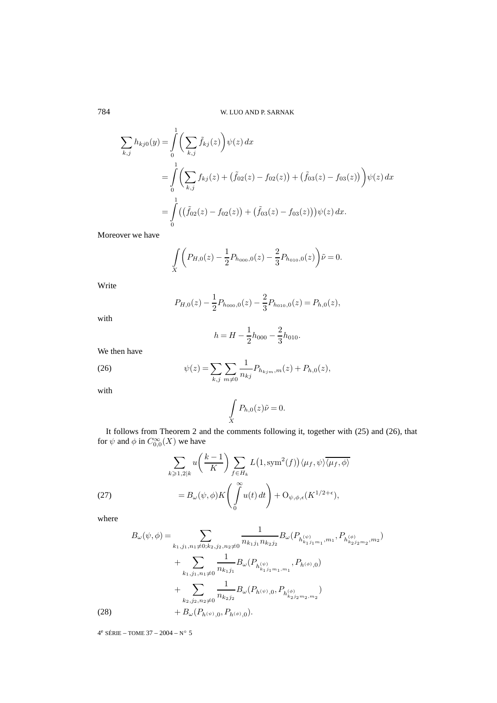$$
\sum_{k,j} h_{kj0}(y) = \int_0^1 \left( \sum_{k,j} \tilde{f}_{kj}(z) \right) \psi(z) dx
$$
  
= 
$$
\int_0^1 \left( \sum_{k,j} f_{kj}(z) + (\tilde{f}_{02}(z) - f_{02}(z)) + (\tilde{f}_{03}(z) - f_{03}(z)) \right) \psi(z) dx
$$
  
= 
$$
\int_0^1 ((\tilde{f}_{02}(z) - f_{02}(z)) + (\tilde{f}_{03}(z) - f_{03}(z))) \psi(z) dx.
$$

Moreover we have

$$
\int_{X} \left( P_{H,0}(z) - \frac{1}{2} P_{h_{000},0}(z) - \frac{2}{3} P_{h_{010},0}(z) \right) \tilde{\nu} = 0.
$$

Write

$$
P_{H,0}(z) - \frac{1}{2}P_{h_{000},0}(z) - \frac{2}{3}P_{h_{010},0}(z) = P_{h,0}(z),
$$

with

$$
h = H - \frac{1}{2}h_{000} - \frac{2}{3}h_{010}.
$$

We then have

(26) 
$$
\psi(z) = \sum_{k,j} \sum_{m \neq 0} \frac{1}{n_{kj}} P_{h_{kjm},m}(z) + P_{h,0}(z),
$$

with

$$
\int\limits_X P_{h,0}(z)\tilde{\nu}=0.
$$

It follows from Theorem 2 and the comments following it, together with (25) and (26), that for  $\psi$  and  $\phi$  in  $C_{0,0}^{\infty}(X)$  we have

(27)  

$$
\sum_{k \ge 1,2|k} u\left(\frac{k-1}{K}\right) \sum_{f \in H_k} L\left(1, \text{sym}^2(f)\right) \langle \mu_f, \psi \rangle \overline{\langle \mu_f, \phi \rangle}
$$

$$
= B_{\omega}(\psi, \phi) K\left(\int_0^{\infty} u(t) dt\right) + \mathcal{O}_{\psi, \phi, \epsilon}(K^{1/2 + \epsilon}),
$$

where

$$
B_{\omega}(\psi,\phi) = \sum_{k_1,j_1,n_1\neq 0; k_2,j_2,n_2\neq 0} \frac{1}{n_{k_1j_1}n_{k_2j_2}} B_{\omega}(P_{h_{k_1j_1m_1}^{(\psi)},m_1}, P_{h_{k_2j_2m_2}^{(\phi)},m_2})
$$
  
+ 
$$
\sum_{k_1,j_1,n_1\neq 0} \frac{1}{n_{k_1j_1}} B_{\omega}(P_{h_{k_1j_1m_1,m_1}^{(\psi)}, P_{h_{k_2j_2m_2}^{(\psi)},m_2})
$$
  
+ 
$$
\sum_{k_2,j_2,n_2\neq 0} \frac{1}{n_{k_2j_2}} B_{\omega}(P_{h_{k_2j_2m_2,m_2}})
$$
  
(28) + 
$$
B_{\omega}(P_{h_{k_2j_2m_2,m_2}}).
$$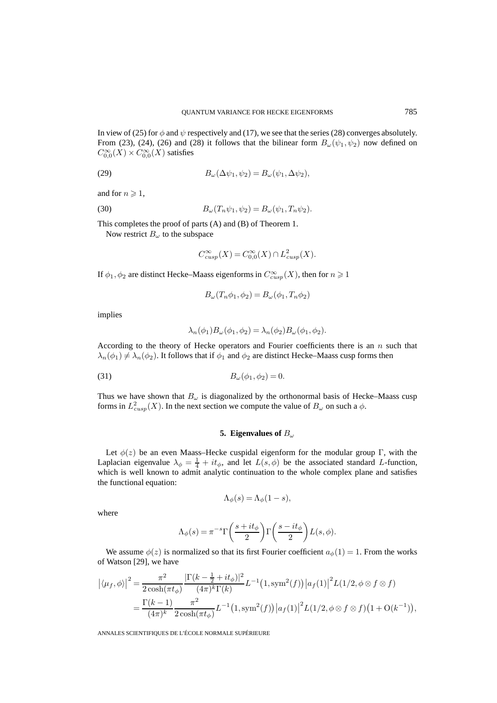In view of (25) for  $\phi$  and  $\psi$  respectively and (17), we see that the series (28) converges absolutely. From (23), (24), (26) and (28) it follows that the bilinear form  $B_{\omega}(\psi_1, \psi_2)$  now defined on  $C_{0,0}^{\infty}(X) \times C_{0,0}^{\infty}(X)$  satisfies

(29) 
$$
B_{\omega}(\Delta \psi_1, \psi_2) = B_{\omega}(\psi_1, \Delta \psi_2),
$$

and for  $n \geqslant 1$ ,

(30) 
$$
B_{\omega}(T_n \psi_1, \psi_2) = B_{\omega}(\psi_1, T_n \psi_2).
$$

This completes the proof of parts (A) and (B) of Theorem 1.

Now restrict  $B_{\omega}$  to the subspace

$$
C_{cusp}^{\infty}(X) = C_{0,0}^{\infty}(X) \cap L_{cusp}^2(X).
$$

If  $\phi_1, \phi_2$  are distinct Hecke–Maass eigenforms in  $C_{cusp}^{\infty}(X)$ , then for  $n \geq 1$ 

$$
B_{\omega}(T_n \phi_1, \phi_2) = B_{\omega}(\phi_1, T_n \phi_2)
$$

implies

$$
\lambda_n(\phi_1)B_{\omega}(\phi_1,\phi_2) = \lambda_n(\phi_2)B_{\omega}(\phi_1,\phi_2).
$$

According to the theory of Hecke operators and Fourier coefficients there is an  $n$  such that  $\lambda_n(\phi_1) \neq \lambda_n(\phi_2)$ . It follows that if  $\phi_1$  and  $\phi_2$  are distinct Hecke–Maass cusp forms then

$$
(31) \t\t B_{\omega}(\phi_1, \phi_2) = 0.
$$

Thus we have shown that  $B_{\omega}$  is diagonalized by the orthonormal basis of Hecke–Maass cusp forms in  $L^2_{cusp}(X)$ . In the next section we compute the value of  $B_{\omega}$  on such a  $\phi$ .

## **5. Eigenvalues of** B<sup>ω</sup>

Let  $\phi(z)$  be an even Maass–Hecke cuspidal eigenform for the modular group Γ, with the Laplacian eigenvalue  $\lambda_{\phi} = \frac{1}{4} + it_{\phi}$ , and let  $L(s, \phi)$  be the associated standard L-function, which is well known to admit analytic continuation to the whole complex plane and satisfies the functional equation:

$$
\Lambda_{\phi}(s) = \Lambda_{\phi}(1-s),
$$

where

$$
\Lambda_{\phi}(s) = \pi^{-s} \Gamma\left(\frac{s + it_{\phi}}{2}\right) \Gamma\left(\frac{s - it_{\phi}}{2}\right) L(s, \phi).
$$

We assume  $\phi(z)$  is normalized so that its first Fourier coefficient  $a_{\phi}(1) = 1$ . From the works of Watson [29], we have

$$
\begin{split} \left| \langle \mu_f, \phi \rangle \right|^2 &= \frac{\pi^2}{2 \cosh(\pi t_\phi)} \frac{\left| \Gamma(k - \frac{1}{2} + it_\phi) \right|^2}{(4\pi)^k \Gamma(k)} L^{-1} (1, \text{sym}^2(f)) \left| a_f(1) \right|^2 L(1/2, \phi \otimes f \otimes f) \\ &= \frac{\Gamma(k - 1)}{(4\pi)^k} \frac{\pi^2}{2 \cosh(\pi t_\phi)} L^{-1} (1, \text{sym}^2(f)) \left| a_f(1) \right|^2 L(1/2, \phi \otimes f \otimes f) \left( 1 + \text{O}(k^{-1}) \right), \end{split}
$$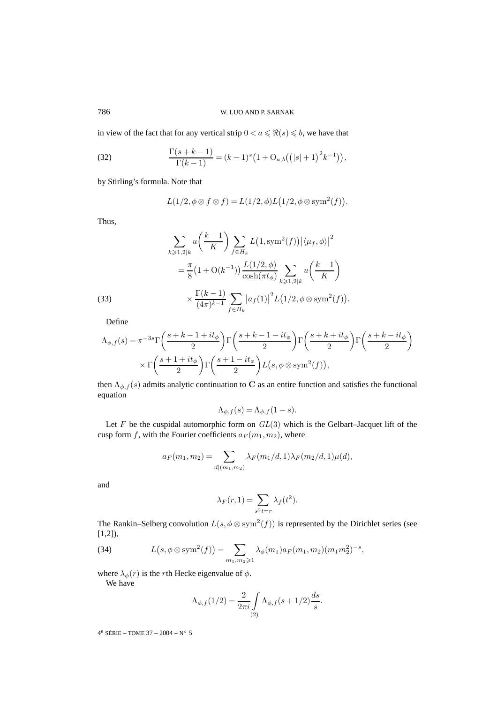in view of the fact that for any vertical strip  $0 < a \le \Re(s) \le b$ , we have that

(32) 
$$
\frac{\Gamma(s+k-1)}{\Gamma(k-1)} = (k-1)^s \left(1 + O_{a,b}\left(\left(|s|+1\right)^2 k^{-1}\right)\right),
$$

by Stirling's formula. Note that

$$
L(1/2, \phi \otimes f \otimes f) = L(1/2, \phi) L(1/2, \phi \otimes \text{sym}^2(f)).
$$

Thus,

(33)  

$$
\sum_{k \ge 1,2|k} u\left(\frac{k-1}{K}\right) \sum_{f \in H_k} L(1, \text{sym}^2(f)) |\langle \mu_f, \phi \rangle|^2
$$

$$
= \frac{\pi}{8} \left(1 + \mathcal{O}(k^{-1})\right) \frac{L(1/2, \phi)}{\cosh(\pi t_\phi)} \sum_{k \ge 1,2|k} u\left(\frac{k-1}{K}\right)
$$

$$
\times \frac{\Gamma(k-1)}{(4\pi)^{k-1}} \sum_{f \in H_k} |a_f(1)|^2 L(1/2, \phi \otimes \text{sym}^2(f)).
$$

Define

$$
\begin{split} \Lambda_{\phi,f}(s) &= \pi^{-3s} \Gamma\bigg(\frac{s+k-1+it_{\phi}}{2}\bigg) \Gamma\bigg(\frac{s+k-1-it_{\phi}}{2}\bigg) \Gamma\bigg(\frac{s+k+it_{\phi}}{2}\bigg) \Gamma\bigg(\frac{s+k-it_{\phi}}{2}\bigg) \\ &\quad \times \Gamma\bigg(\frac{s+1+it_{\phi}}{2}\bigg) \Gamma\bigg(\frac{s+1-it_{\phi}}{2}\bigg) L\big(s,\phi\otimes\mathrm{sym}^2(f)\big), \end{split}
$$

then  $\Lambda_{\phi,f}(s)$  admits analytic continuation to **C** as an entire function and satisfies the functional equation

$$
\Lambda_{\phi,f}(s) = \Lambda_{\phi,f}(1-s).
$$

Let  $F$  be the cuspidal automorphic form on  $GL(3)$  which is the Gelbart–Jacquet lift of the cusp form f, with the Fourier coefficients  $a_F(m_1,m_2)$ , where

$$
a_F(m_1, m_2) = \sum_{d | (m_1, m_2)} \lambda_F(m_1/d, 1) \lambda_F(m_2/d, 1) \mu(d),
$$

and

$$
\lambda_F(r,1) = \sum_{s^2t=r} \lambda_f(t^2).
$$

The Rankin–Selberg convolution  $L(s, \phi \otimes \text{sym}^2(f))$  is represented by the Dirichlet series (see [1,2]),

(34) 
$$
L(s, \phi \otimes \text{sym}^2(f)) = \sum_{m_1, m_2 \geqslant 1} \lambda_{\phi}(m_1) a_F(m_1, m_2) (m_1 m_2^2)^{-s},
$$

where  $\lambda_{\phi}(r)$  is the *r*th Hecke eigenvalue of  $\phi$ .

We have

$$
\Lambda_{\phi,f}(1/2) = \frac{2}{2\pi i} \int_{(2)} \Lambda_{\phi,f}(s+1/2) \frac{ds}{s}.
$$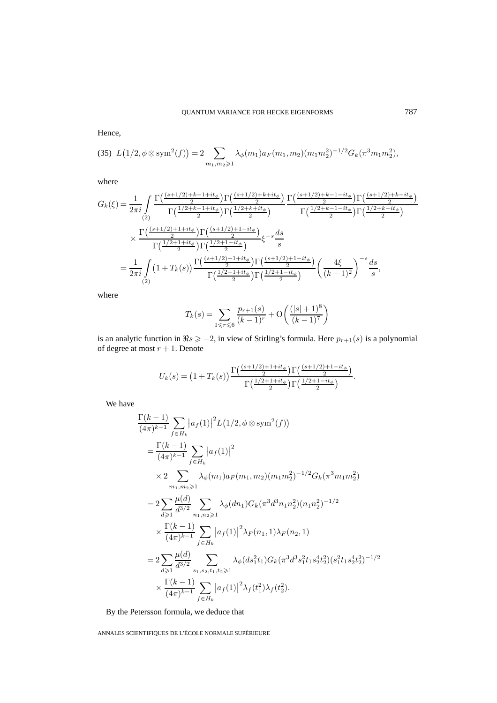Hence,

$$
(35)\ \ L\left(1/2,\phi\otimes\mathrm{sym}^2(f)\right)=2\sum_{m_1,m_2\geqslant 1}\lambda_{\phi}(m_1)a_F(m_1,m_2)(m_1m_2^2)^{-1/2}G_k(\pi^3m_1m_2^2),
$$

where

$$
G_k(\xi) = \frac{1}{2\pi i} \int \frac{\Gamma\left(\frac{(s+1/2)+k-1+it_{\phi}}{2}\right) \Gamma\left(\frac{(s+1/2)+k+it_{\phi}}{2}\right)}{\Gamma\left(\frac{1/2+k-1+it_{\phi}}{2}\right) \Gamma\left(\frac{1/2+k+it_{\phi}}{2}\right)} \frac{\Gamma\left(\frac{(s+1/2)+k-1-it_{\phi}}{2}\right) \Gamma\left(\frac{(s+1/2)+k-it_{\phi}}{2}\right)}{\Gamma\left(\frac{1/2+k-1+it_{\phi}}{2}\right) \Gamma\left(\frac{1/2+k-it_{\phi}}{2}\right)} \times \frac{\Gamma\left(\frac{(s+1/2)+1+it_{\phi}}{2}\right) \Gamma\left(\frac{(s+1/2)+1-it_{\phi}}{2}\right)}{\Gamma\left(\frac{1/2+1+it_{\phi}}{2}\right) \Gamma\left(\frac{1/2+1-it_{\phi}}{2}\right)} \xi^{-s} \frac{ds}{s}
$$

$$
= \frac{1}{2\pi i} \int \left(1+T_k(s)\right) \frac{\Gamma\left(\frac{(s+1/2)+1+it_{\phi}}{2}\right) \Gamma\left(\frac{(s+1/2)+1-it_{\phi}}{2}\right)}{\Gamma\left(\frac{1/2+1+it_{\phi}}{2}\right) \Gamma\left(\frac{1/2+1-it_{\phi}}{2}\right)} \left(\frac{4\xi}{(k-1)^2}\right)^{-s} \frac{ds}{s},
$$

where

$$
T_k(s) = \sum_{1 \le r \le 6} \frac{p_{r+1}(s)}{(k-1)^r} + \mathcal{O}\left(\frac{(|s|+1)^8}{(k-1)^7}\right)
$$

is an analytic function in  $\Re s \ge -2$ , in view of Stirling's formula. Here  $p_{r+1}(s)$  is a polynomial of degree at most  $r + 1$ . Denote

$$
U_k(s) = \left(1 + T_k(s)\right) \frac{\Gamma\left(\frac{(s+1/2)+1+it_{\phi}}{2}\right) \Gamma\left(\frac{(s+1/2)+1-it_{\phi}}{2}\right)}{\Gamma\left(\frac{1/2+1+it_{\phi}}{2}\right) \Gamma\left(\frac{1/2+1-it_{\phi}}{2}\right)}.
$$

We have

$$
\frac{\Gamma(k-1)}{(4\pi)^{k-1}} \sum_{f \in H_k} |a_f(1)|^2 L(1/2, \phi \otimes \text{sym}^2(f))
$$
\n
$$
= \frac{\Gamma(k-1)}{(4\pi)^{k-1}} \sum_{f \in H_k} |a_f(1)|^2
$$
\n
$$
\times 2 \sum_{m_1, m_2 \geqslant 1} \lambda_{\phi}(m_1) a_F(m_1, m_2) (m_1 m_2^2)^{-1/2} G_k(\pi^3 m_1 m_2^2)
$$
\n
$$
= 2 \sum_{d \geqslant 1} \frac{\mu(d)}{d^{3/2}} \sum_{n_1, n_2 \geqslant 1} \lambda_{\phi}(dn_1) G_k(\pi^3 d^3 n_1 n_2^2) (n_1 n_2^2)^{-1/2}
$$
\n
$$
\times \frac{\Gamma(k-1)}{(4\pi)^{k-1}} \sum_{f \in H_k} |a_f(1)|^2 \lambda_F(n_1, 1) \lambda_F(n_2, 1)
$$
\n
$$
= 2 \sum_{d \geqslant 1} \frac{\mu(d)}{d^{3/2}} \sum_{s_1, s_2, t_1, t_2 \geqslant 1} \lambda_{\phi}(ds_1^2 t_1) G_k(\pi^3 d^3 s_1^2 t_1 s_2^4 t_2^2) (s_1^2 t_1 s_2^4 t_2^2)^{-1/2}
$$
\n
$$
\times \frac{\Gamma(k-1)}{(4\pi)^{k-1}} \sum_{f \in H_k} |a_f(1)|^2 \lambda_f(t_1^2) \lambda_f(t_2^2).
$$

By the Petersson formula, we deduce that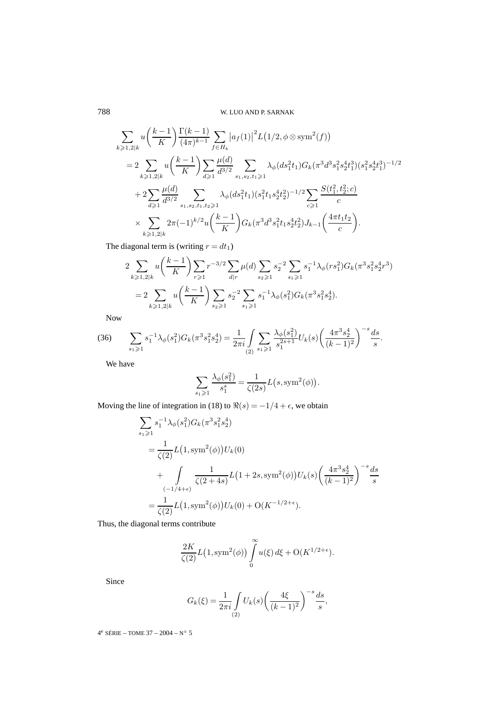$$
\sum_{k\geqslant 1,2|k} u\left(\frac{k-1}{K}\right) \frac{\Gamma(k-1)}{(4\pi)^{k-1}} \sum_{f\in H_k} \left|a_f(1)\right|^2 L\left(1/2, \phi \otimes \text{sym}^2(f)\right)
$$
\n
$$
= 2 \sum_{k\geqslant 1,2|k} u\left(\frac{k-1}{K}\right) \sum_{d\geqslant 1} \frac{\mu(d)}{d^{3/2}} \sum_{s_1,s_2,t_1\geqslant 1} \lambda_{\phi}(ds_1^2 t_1) G_k(\pi^3 d^3 s_1^2 s_2^4 t_1^3) (s_1^2 s_2^4 t_1^3)^{-1/2}
$$
\n
$$
+ 2 \sum_{d\geqslant 1} \frac{\mu(d)}{d^{3/2}} \sum_{s_1,s_2,t_1,t_2\geqslant 1} \lambda_{\phi}(ds_1^2 t_1) (s_1^2 t_1 s_2^4 t_2^2)^{-1/2} \sum_{c\geqslant 1} \frac{S(t_1^2, t_2^2; c)}{c}
$$
\n
$$
\times \sum_{k\geqslant 1,2|k} 2\pi (-1)^{k/2} u\left(\frac{k-1}{K}\right) G_k(\pi^3 d^3 s_1^2 t_1 s_2^4 t_2^2) J_{k-1}\left(\frac{4\pi t_1 t_2}{c}\right).
$$

The diagonal term is (writing  $r = dt_1$ )

$$
2\sum_{k\geqslant 1,2|k} u\left(\frac{k-1}{K}\right) \sum_{r\geqslant 1} r^{-3/2} \sum_{d|r} \mu(d) \sum_{s_2\geqslant 1} s_2^{-2} \sum_{s_1\geqslant 1} s_1^{-1} \lambda_{\phi}(rs_1^2) G_k(\pi^3 s_1^2 s_2^4 r^3)
$$
  
= 
$$
2\sum_{k\geqslant 1,2|k} u\left(\frac{k-1}{K}\right) \sum_{s_2\geqslant 1} s_2^{-2} \sum_{s_1\geqslant 1} s_1^{-1} \lambda_{\phi}(s_1^2) G_k(\pi^3 s_1^2 s_2^4).
$$

Now

$$
(36) \qquad \sum_{s_1 \geqslant 1} s_1^{-1} \lambda_{\phi}(s_1^2) G_k(\pi^3 s_1^2 s_2^4) = \frac{1}{2\pi i} \int_{(2)} \sum_{s_1 \geqslant 1} \frac{\lambda_{\phi}(s_1^2)}{s_1^{2s+1}} U_k(s) \left(\frac{4\pi^3 s_2^4}{(k-1)^2}\right)^{-s} \frac{ds}{s}.
$$

We have

$$
\sum_{s_1 \geqslant 1} \frac{\lambda_\phi(s_1^2)}{s_1^s} = \frac{1}{\zeta(2s)} L(s, \text{sym}^2(\phi)).
$$

Moving the line of integration in (18) to  $\Re(s) = -1/4 + \epsilon$ , we obtain

$$
\sum_{s_1 \geq 1} s_1^{-1} \lambda_{\phi}(s_1^2) G_k(\pi^3 s_1^2 s_2^4)
$$
  
= 
$$
\frac{1}{\zeta(2)} L(1, \text{sym}^2(\phi)) U_k(0)
$$
  
+ 
$$
\int_{(-1/4+\epsilon)} \frac{1}{\zeta(2+4s)} L(1+2s, \text{sym}^2(\phi)) U_k(s) \left(\frac{4\pi^3 s_2^4}{(k-1)^2}\right)^{-s} \frac{ds}{s}
$$
  
= 
$$
\frac{1}{\zeta(2)} L(1, \text{sym}^2(\phi)) U_k(0) + O(K^{-1/2+\epsilon}).
$$

Thus, the diagonal terms contribute

$$
\frac{2K}{\zeta(2)}L\big(1,\text{sym}^2(\phi)\big)\int\limits_{0}^{\infty}u(\xi)\,d\xi+\mathrm{O}(K^{1/2+\epsilon}).
$$

Since

$$
G_k(\xi) = \frac{1}{2\pi i} \int_{(2)} U_k(s) \left( \frac{4\xi}{(k-1)^2} \right)^{-s} \frac{ds}{s},
$$

4<sup>e</sup> SÉRIE – TOME 37 – 2004 – N° 5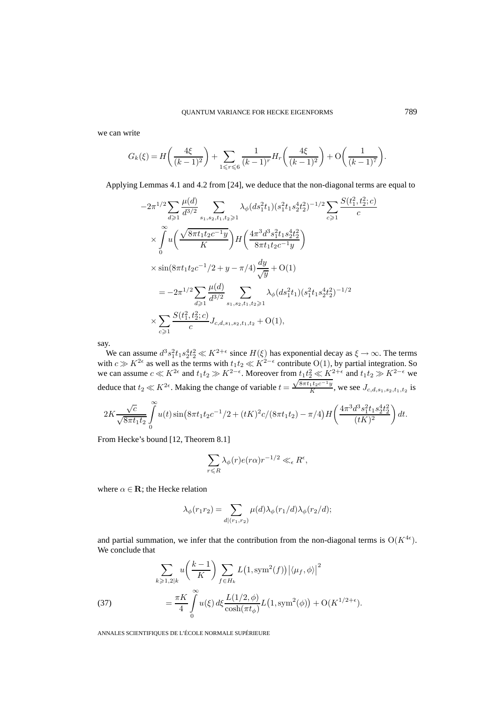we can write

$$
G_k(\xi) = H\left(\frac{4\xi}{(k-1)^2}\right) + \sum_{1 \leq r \leq 6} \frac{1}{(k-1)^r} H_r\left(\frac{4\xi}{(k-1)^2}\right) + \mathcal{O}\left(\frac{1}{(k-1)^7}\right).
$$

Applying Lemmas 4.1 and 4.2 from [24], we deduce that the non-diagonal terms are equal to

$$
-2\pi^{1/2} \sum_{d\geqslant 1} \frac{\mu(d)}{d^{3/2}} \sum_{s_1, s_2, t_1, t_2 \geqslant 1} \lambda_{\phi}(ds_1^2 t_1) (s_1^2 t_1 s_2^4 t_2^2)^{-1/2} \sum_{c\geqslant 1} \frac{S(t_1^2, t_2^2; c)}{c}
$$
  
\$\times \int\_{0}^{\infty} u\left(\frac{\sqrt{8\pi t\_1 t\_2 c^{-1} y}}{K}\right) H\left(\frac{4\pi^3 d^3 s\_1^2 t\_1 s\_2^4 t\_2^2}{8\pi t\_1 t\_2 c^{-1} y}\right) \times \sin(8\pi t\_1 t\_2 c^{-1} / 2 + y - \pi/4) \frac{dy}{\sqrt{y}} + O(1)\n  
\$= -2\pi^{1/2} \sum\_{d\geqslant 1} \frac{\mu(d)}{d^{3/2}} \sum\_{s\_1, s\_2, t\_1, t\_2 \geqslant 1} \lambda\_{\phi}(ds\_1^2 t\_1) (s\_1^2 t\_1 s\_2^4 t\_2^2)^{-1/2}\n  
\$\times \sum\_{c\geqslant 1} \frac{S(t\_1^2, t\_2^2; c)}{c} J\_{c,d,s\_1,s\_2,t\_1,t\_2} + O(1),

say.

We can assume  $d^3s_1^2t_1s_2^4t_2^2 \ll K^{2+\epsilon}$  since  $H(\xi)$  has exponential decay as  $\xi \to \infty$ . The terms with  $c \gg K^{2\epsilon}$  as well as the terms with  $t_1t_2 \ll K^{2-\epsilon}$  contribute  $O(1)$ , by partial integration. So we can assume  $c \ll K^{2\epsilon}$  and  $t_1t_2 \gg K^{2-\epsilon}$ . Moreover from  $t_1t_2 \ll K^{2+\epsilon}$  and  $t_1t_2 \gg K^{2-\epsilon}$  we we can assume  $c \ll K$  and  $t_1t_2 \gg K$ . Moreover non- $t_1t_2 \ll K$ <br>deduce that  $t_2 \ll K^{2\epsilon}$ . Making the change of variable  $t = \frac{\sqrt{8\pi t_1 t_2 c^{-1}y}}{K}$  $\frac{1}{K}$ , we see  $J_{c,d,s_1,s_2,t_1,t_2}$  is

$$
2K\frac{\sqrt{c}}{\sqrt{8\pi t_1 t_2}}\int\limits_{0}^{\infty}u(t)\sin\left(8\pi t_1t_2c^{-1}/2+(tK)^2c/(8\pi t_1t_2)-\pi/4\right)H\left(\frac{4\pi^3 d^3 s_1^2 t_1 s_2^4 t_2^2}{(tK)^2}\right)dt.
$$

From Hecke's bound [12, Theorem 8.1]

$$
\sum_{r \leq R} \lambda_{\phi}(r) e(r\alpha) r^{-1/2} \ll_{\epsilon} R^{\epsilon},
$$

where  $\alpha \in \mathbf{R}$ ; the Hecke relation

$$
\lambda_{\phi}(r_1r_2) = \sum_{d|(r_1,r_2)} \mu(d)\lambda_{\phi}(r_1/d)\lambda_{\phi}(r_2/d);
$$

and partial summation, we infer that the contribution from the non-diagonal terms is  $O(K^{4\epsilon})$ . We conclude that

(37)  

$$
\sum_{k\geqslant 1,2|k} u\left(\frac{k-1}{K}\right) \sum_{f\in H_k} L\left(1,\text{sym}^2(f)\right) \left|\langle \mu_f, \phi \rangle\right|^2
$$

$$
= \frac{\pi K}{4} \int_0^\infty u(\xi) \, d\xi \frac{L(1/2,\phi)}{\cosh(\pi t_\phi)} L\left(1,\text{sym}^2(\phi)\right) + \mathcal{O}(K^{1/2+\epsilon}).
$$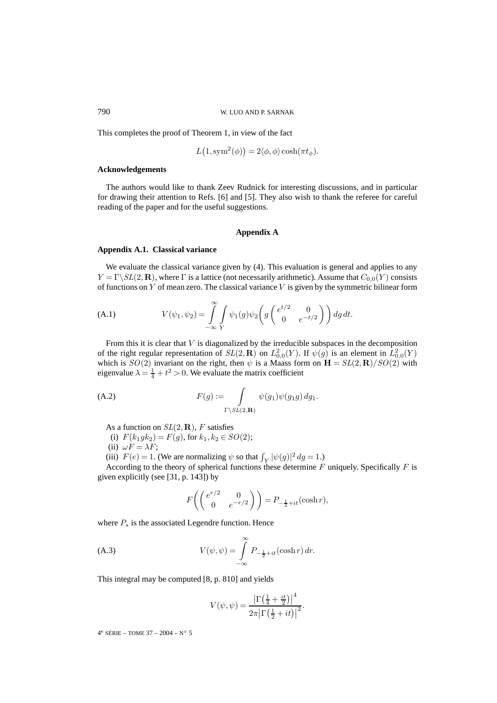This completes the proof of Theorem 1, in view of the fact

$$
L(1, \text{sym}^2(\phi)) = 2\langle \phi, \phi \rangle \cosh(\pi t_{\phi}).
$$

#### **Acknowledgements**

The authors would like to thank Zeev Rudnick for interesting discussions, and in particular for drawing their attention to Refs. [6] and [5]. They also wish to thank the referee for careful reading of the paper and for the useful suggestions.

#### **Appendix A**

### **Appendix A.1. Classical variance**

We evaluate the classical variance given by (4). This evaluation is general and applies to any  $Y = \Gamma \backslash SL(2,\mathbf{R})$ , where  $\Gamma$  is a lattice (not necessarily arithmetic). Assume that  $C_{0,0}(Y)$  consists of functions on Y of mean zero. The classical variance  $V$  is given by the symmetric bilinear form

(A.1) 
$$
V(\psi_1, \psi_2) = \int_{-\infty}^{\infty} \int_{Y} \psi_1(g) \psi_2\left(g\begin{pmatrix} e^{t/2} & 0\\ 0 & e^{-t/2} \end{pmatrix}\right) dg dt.
$$

From this it is clear that  $V$  is diagonalized by the irreducible subspaces in the decomposition of the right regular representation of  $SL(2,\mathbf{R})$  on  $L^2_{0,0}(Y)$ . If  $\psi(g)$  is an element in  $L^2_{0,0}(Y)$ which is  $SO(2)$  invariant on the right, then  $\psi$  is a Maass form on  $\mathbf{H} = SL(2,\mathbf{R})/SO(2)$  with eigenvalue  $\lambda = \frac{1}{4} + t^2 > 0$ . We evaluate the matrix coefficient

(A.2) 
$$
F(g) := \int_{\Gamma \backslash SL(2,\mathbf{R})} \psi(g_1) \psi(g_1 g) dg_1.
$$

As a function on  $SL(2,\mathbf{R})$ , F satisfies

- (i)  $F(k_1gk_2) = F(g)$ , for  $k_1, k_2 \in SO(2)$ ;
- (ii)  $\omega F = \lambda F$ ;

(iii)  $F(e) = 1$ . (We are normalizing  $\psi$  so that  $\int_Y |\psi(g)|^2 dg = 1$ .)

According to the theory of spherical functions these determine  $F$  uniquely. Specifically  $F$  is given explicitly (see [31, p. 143]) by

$$
F\left(\begin{pmatrix} e^{r/2} & 0\\ 0 & e^{-r/2} \end{pmatrix}\right) = P_{-\frac{1}{2}+it}(\cosh r),
$$

where  $P_s$  is the associated Legendre function. Hence

(A.3) 
$$
V(\psi, \psi) = \int_{-\infty}^{\infty} P_{-\frac{1}{2}+it}(\cosh r) dr.
$$

This integral may be computed [8, p. 810] and yields

$$
V(\psi, \psi) = \frac{\left|\Gamma\left(\frac{1}{4} + \frac{it}{2}\right)\right|^4}{2\pi \left|\Gamma\left(\frac{1}{2} + it\right)\right|^2}.
$$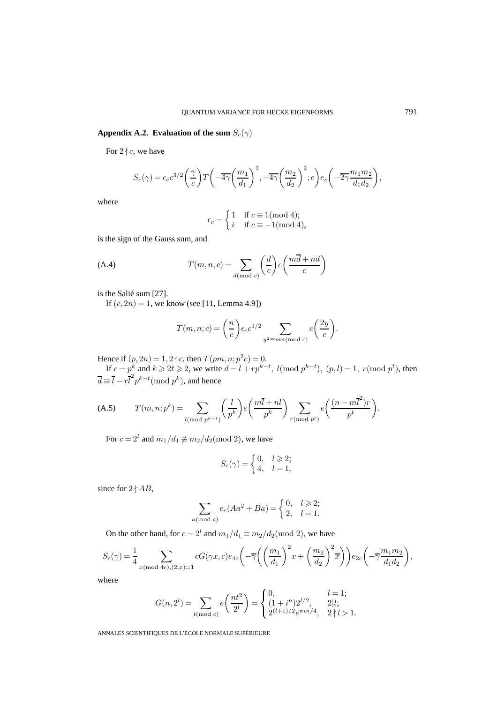# **Appendix A.2. Evaluation of the sum**  $S_c(\gamma)$

For  $2 \nmid c$ , we have

$$
S_c(\gamma) = \epsilon_c c^{3/2} \left(\frac{\gamma}{c}\right) T\left(-\overline{4\gamma} \left(\frac{m_1}{d_1}\right)^2, -\overline{4\gamma} \left(\frac{m_2}{d_2}\right)^2; c\right) e_c\left(-\overline{2\gamma} \frac{m_1 m_2}{d_1 d_2}\right),
$$

where

$$
\epsilon_c = \begin{cases} 1 & \text{if } c \equiv 1 \text{(mod 4)}; \\ i & \text{if } c \equiv -1 \text{(mod 4)}, \end{cases}
$$

is the sign of the Gauss sum, and

(A.4) 
$$
T(m, n; c) = \sum_{d \text{ (mod } c)} \left(\frac{d}{c}\right) e\left(\frac{m\overline{d} + nd}{c}\right)
$$

is the Salié sum [27].

If  $(c, 2n) = 1$ , we know (see [11, Lemma 4.9])

$$
T(m, n; c) = \left(\frac{n}{c}\right) \epsilon_c c^{1/2} \sum_{y^2 \equiv mn \pmod{c}} e\left(\frac{2y}{c}\right).
$$

Hence if  $(p, 2n) = 1, 2 \nmid c$ , then  $T (pm, n; p^2 c) = 0$ .

If  $c = p^k$  and  $k \ge 2t \ge 2$ , we write  $d = l + rp^{k-t}$ ,  $l(\text{mod } p^{k-t})$ ,  $(p, l) = 1$ ,  $r(\text{mod } p^t)$ , then  $\overline{d} \equiv \overline{l} - r \overline{l}^2 p^{k-t} (\text{mod } p^k)$ , and hence

$$
(A.5) \tT(m,n;p^k) = \sum_{l \pmod{p^{k-t}}} \left(\frac{l}{p^k}\right) e\left(\frac{m\overline{l}+nl}{p^k}\right) \sum_{r \pmod{p^t}} e\left(\frac{(n-m\overline{l}^2)r}{p^t}\right).
$$

For  $c = 2^l$  and  $m_1/d_1 \not\equiv m_2/d_2 \pmod{2}$ , we have

$$
S_c(\gamma) = \begin{cases} 0, & l \geqslant 2; \\ 4, & l = 1, \end{cases}
$$

since for  $2 \nmid AB$ ,

$$
\sum_{a \pmod{c}} e_c(Aa^2 + Ba) = \begin{cases} 0, & l \ge 2; \\ 2, & l = 1. \end{cases}
$$

On the other hand, for  $c = 2^l$  and  $m_1/d_1 \equiv m_2/d_2 \pmod{2}$ , we have

$$
S_c(\gamma) = \frac{1}{4} \sum_{x \text{ (mod } 4c), (2, x) = 1} cG(\gamma x, c)e_{4c}\left(-\overline{\gamma}\left(\left(\frac{m_1}{d_1}\right)^2 x + \left(\frac{m_2}{d_2}\right)^2 \overline{x}\right)\right)e_{2c}\left(-\overline{\gamma}\frac{m_1m_2}{d_1d_2}\right),
$$

where

$$
G(n, 2^{l}) = \sum_{t \text{ (mod } c)} e\left(\frac{nt^{2}}{2^{l}}\right) = \begin{cases} 0, & l = 1; \\ \frac{(1 + i^{n})2^{l/2}}{2^{(l+1)/2}e^{\pi i n/4}}, & 2|l; \\ 2^{(l+1)/2}e^{\pi i n/4}, & 2|l > 1. \end{cases}
$$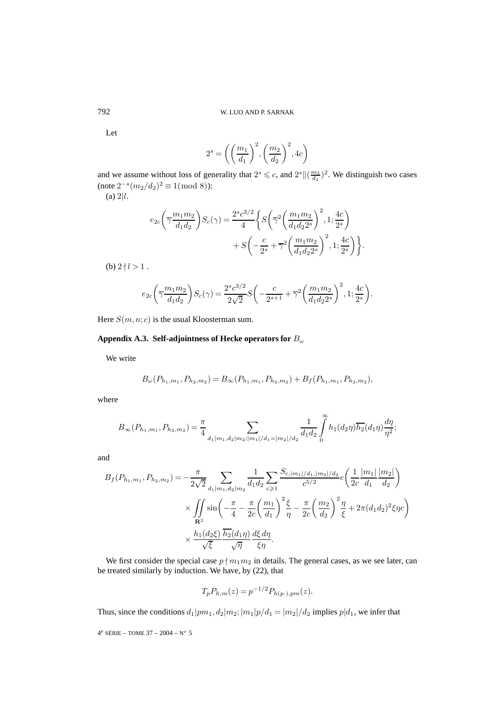Let

$$
2^s = \left( \left( \frac{m_1}{d_1} \right)^2, \left( \frac{m_2}{d_2} \right)^2, 4c \right)
$$

and we assume without loss of generality that  $2^s \leq c$ , and  $2^s ||(\frac{m_2}{d_2})^2$ . We distinguish two cases (note  $2^{-s}(m_2/d_2)^2 \equiv 1 \pmod{8}$ ):

 $(a)$  2|l.

$$
e_{2c} \left(\overline{\gamma} \frac{m_1 m_2}{d_1 d_2}\right) S_c(\gamma) = \frac{2^s c^{3/2}}{4} \left\{ S \left(\overline{\gamma}^2 \left(\frac{m_1 m_2}{d_1 d_2 2^s}\right)^2, 1; \frac{4c}{2^s} \right) + S \left(-\frac{c}{2^s} + \overline{\gamma}^2 \left(\frac{m_1 m_2}{d_1 d_2 2^s}\right)^2, 1; \frac{4c}{2^s} \right) \right\}.
$$

(b)  $2 \nmid l > 1$ .

$$
e_{2c}\bigg(\overline{\gamma}\frac{m_1m_2}{d_1d_2}\bigg)S_c(\gamma)=\frac{2^sc^{3/2}}{2\sqrt{2}}S\bigg(-\frac{c}{2^{s+1}}+\overline{\gamma}^2\bigg(\frac{m_1m_2}{d_1d_22^s}\bigg)^2,1;\frac{4c}{2^s}\bigg).
$$

Here  $S(m, n; c)$  is the usual Kloosterman sum.

# **Appendix A.3. Self-adjointness of Hecke operators for** B<sup>ω</sup>

We write

$$
B_{\omega}(P_{h_1,m_1}, P_{h_2,m_2}) = B_{\infty}(P_{h_1,m_1}, P_{h_2,m_2}) + B_f(P_{h_1,m_1}, P_{h_2,m_2}),
$$

where

$$
B_{\infty}(P_{h_1,m_1}, P_{h_2,m_2}) = \frac{\pi}{4} \sum_{d_1|m_1, d_2|m_2; |m_1|/d_1 = |m_2|/d_2} \frac{1}{d_1 d_2} \int_0^{\infty} h_1(d_2 \eta) \overline{h_2}(d_1 \eta) \frac{d\eta}{\eta^2};
$$

and

$$
B_f(P_{h_1,m_1}, P_{h_2,m_2}) = -\frac{\pi}{2\sqrt{2}} \sum_{d_1|m_1, d_2|m_2} \frac{1}{d_1d_2} \sum_{c \ge 1} \frac{S_{c,|m_1|/d_1,|m_2|/d_2}}{c^{5/2}} e\left(\frac{1}{2c} \frac{|m_1|}{d_1} \frac{|m_2|}{d_2}\right)
$$
  
 
$$
\times \iint_{\mathbf{R}^2} \sin\left(-\frac{\pi}{4} - \frac{\pi}{2c} \left(\frac{m_1}{d_1}\right)^2 \frac{\xi}{\eta} - \frac{\pi}{2c} \left(\frac{m_2}{d_2}\right)^2 \frac{\eta}{\xi} + 2\pi (d_1d_2)^2 \xi \eta c\right)
$$
  
 
$$
\times \frac{h_1(d_2\xi)}{\sqrt{\xi}} \frac{\overline{h_2}(d_1\eta)}{\sqrt{\eta}} \frac{d\xi d\eta}{\xi\eta}.
$$

We first consider the special case  $p \nmid m_1 m_2$  in details. The general cases, as we see later, can be treated similarly by induction. We have, by (22), that

$$
T_p P_{h,m}(z) = p^{-1/2} P_{h(p\cdot),pm}(z).
$$

Thus, since the conditions  $d_1|pm_1, d_2|m_2; |m_1|p/d_1 = |m_2|/d_2$  implies  $p|d_1$ , we infer that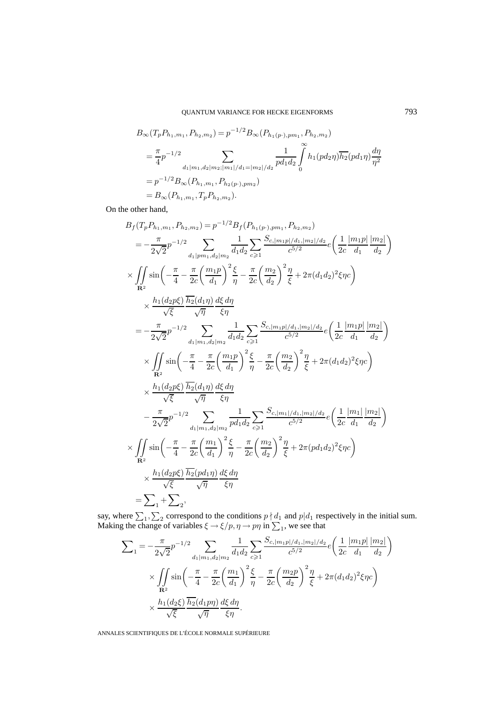$$
B_{\infty}(T_p P_{h_1,m_1}, P_{h_2,m_2}) = p^{-1/2} B_{\infty}(P_{h_1(p\cdot),pm_1}, P_{h_2,m_2})
$$
  
=  $\frac{\pi}{4} p^{-1/2}$   
 $d_1|m_1, d_2|m_2; |m_1|/d_1 = |m_2|/d_2} \int_0^{\infty} h_1(pd_2\eta) \overline{h_2}(pd_1\eta) \frac{d\eta}{\eta^2}$   
=  $p^{-1/2} B_{\infty}(P_{h_1,m_1}, P_{h_2(p\cdot),pm_2})$   
=  $B_{\infty}(P_{h_1,m_1}, T_p P_{h_2,m_2}).$ 

On the other hand,

$$
B_{f}(T_{p}P_{h_{1},m_{1}},P_{h_{2},m_{2}}) = p^{-1/2}B_{f}(P_{h_{1}(p\cdot),pm_{1}},P_{h_{2},m_{2}})
$$
\n
$$
= -\frac{\pi}{2\sqrt{2}}p^{-1/2} \sum_{d_{1}|pm_{1},d_{2}|m_{2}} \frac{1}{d_{1}d_{2}} \sum_{c \geq 1} \frac{S_{c,|m_{1}p|/d_{1},|m_{2}|/d_{2}}}{c^{5/2}} e\left(\frac{1}{2c}\frac{|m_{1}p|}{d_{1}}\frac{|m_{2}|}{d_{2}}\right)
$$
\n
$$
\times \iint_{\mathbf{R}^{2}} \sin\left(-\frac{\pi}{4} - \frac{\pi}{2c}\left(\frac{m_{1}p}{d_{1}}\right)^{2}\frac{\xi}{\eta} - \frac{\pi}{2c}\left(\frac{m_{2}}{d_{2}}\right)^{2}\frac{\eta}{\xi} + 2\pi(d_{1}d_{2})^{2}\xi\eta c\right)
$$
\n
$$
\times \frac{h_{1}(d_{2}p\xi)}{\sqrt{\xi}} \frac{\overline{h_{2}(d_{1}\eta)}}{\sqrt{\eta}} \frac{d\xi d\eta}{\xi\eta}
$$
\n
$$
= -\frac{\pi}{2\sqrt{2}}p^{-1/2} \sum_{d_{1}|m_{1},d_{2}|m_{2}} \frac{1}{d_{1}d_{2}} \sum_{c \geq 1} \frac{S_{c,|m_{1}p|/d_{1},|m_{2}|/d_{2}}}{c^{5/2}} e\left(\frac{1}{2c}\frac{|m_{1}p|}{d_{1}}\frac{|m_{2}|}{d_{2}}\right)
$$
\n
$$
\times \iint_{\mathbf{R}^{2}} \sin\left(-\frac{\pi}{4} - \frac{\pi}{2c}\left(\frac{m_{1}p}{d_{1}}\right)^{2}\frac{\xi}{\eta} - \frac{\pi}{2c}\left(\frac{m_{2}}{d_{2}}\right)^{2}\frac{\eta}{\xi} + 2\pi(d_{1}d_{2})^{2}\xi\eta c\right)
$$
\n
$$
\times \frac{h_{1}(d_{2}p\xi)}{\sqrt{\xi}} \frac{\overline{h_{2}(d_{1}\eta)}}{\sqrt{\eta}} \frac{d\xi d\eta}{\xi\eta}
$$
\n
$$
- \frac{\pi
$$

say, where  $\sum_1, \sum_2$  correspond to the conditions  $p \nmid d_1$  and  $p | d_1$  respectively in the initial sum. Making the change of variables  $\xi \rightarrow \xi/p, \eta \rightarrow p\eta$  in  $\sum_{1}$ , we see that

$$
\sum_{1} = -\frac{\pi}{2\sqrt{2}} p^{-1/2} \sum_{d_1|m_1, d_2|m_2} \frac{1}{d_1 d_2} \sum_{c \ge 1} \frac{S_{c, |m_1 p| / d_1, |m_2| / d_2}}{c^{5/2}} e\left(\frac{1}{2c} \frac{|m_1 p|}{d_1} \frac{|m_2|}{d_2}\right)
$$

$$
\times \iint_{\mathbf{R}^2} \sin\left(-\frac{\pi}{4} - \frac{\pi}{2c} \left(\frac{m_1}{d_1}\right)^2 \frac{\xi}{\eta} - \frac{\pi}{2c} \left(\frac{m_2 p}{d_2}\right)^2 \frac{\eta}{\xi} + 2\pi (d_1 d_2)^2 \xi \eta c\right)
$$

$$
\times \frac{h_1(d_2 \xi)}{\sqrt{\xi}} \frac{\overline{h_2}(d_1 p \eta)}{\sqrt{\eta}} \frac{d\xi d\eta}{\xi \eta}.
$$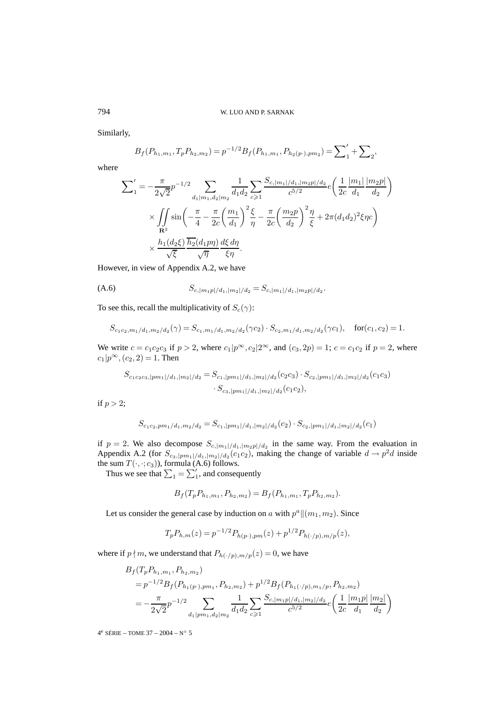Similarly,

$$
B_f(P_{h_1,m_1}, T_p P_{h_2,m_2}) = p^{-1/2} B_f(P_{h_1,m_1}, P_{h_2(p\cdot),pm_2}) = \sum_1' + \sum_2,
$$

where

$$
\sum'_{1} = -\frac{\pi}{2\sqrt{2}} p^{-1/2} \sum_{d_1|m_1, d_2|m_2} \frac{1}{d_1 d_2} \sum_{c \ge 1} \frac{S_{c, |m_1| / d_1, |m_2 p| / d_2}}{c^{5/2}} e\left(\frac{1}{2c} \frac{|m_1|}{d_1} \frac{|m_2 p|}{d_2}\right)
$$
  
\$\times \iint\_{\mathbf{R}^2} \sin\left(-\frac{\pi}{4} - \frac{\pi}{2c} \left(\frac{m\_1}{d\_1}\right)^2 \frac{\xi}{\eta} - \frac{\pi}{2c} \left(\frac{m\_2 p}{d\_2}\right)^2 \frac{\eta}{\xi} + 2\pi (d\_1 d\_2)^2 \xi \eta c\right)\$  
\$\times \frac{h\_1 (d\_2 \xi)}{\sqrt{\xi}} \frac{\overline{h\_2} (d\_1 p \eta)}{\sqrt{\eta}} \frac{d\xi d\eta}{\xi \eta}.

However, in view of Appendix A.2, we have

(A.6) 
$$
S_{c,|m_1p|/d_1,|m_2|/d_2} = S_{c,|m_1|/d_1,|m_2p|/d_2}.
$$

To see this, recall the multiplicativity of  $S_c(\gamma)$ :

$$
S_{c_1c_2,m_1/d_1,m_2/d_2}(\gamma) = S_{c_1,m_1/d_1,m_2/d_2}(\gamma c_2) \cdot S_{c_2,m_1/d_1,m_2/d_2}(\gamma c_1), \quad \text{for}(c_1,c_2) = 1.
$$

We write  $c = c_1c_2c_3$  if  $p > 2$ , where  $c_1|p^{\infty}, c_2|2^{\infty}$ , and  $(c_3, 2p) = 1$ ;  $c = c_1c_2$  if  $p = 2$ , where  $c_1|p^{\infty}, (c_2, 2) = 1$ . Then

$$
S_{c_1c_2c_3,|pm_1|/d_1,|m_2|/d_2} = S_{c_1,|pm_1|/d_1,|m_2|/d_2}(c_2c_3) \cdot S_{c_2,|pm_1|/d_1,|m_2|/d_2}(c_1c_3)
$$

$$
\cdot S_{c_3,|pm_1|/d_1,|m_2|/d_2}(c_1c_2),
$$

if  $p > 2$ ;

$$
S_{c_1c_2,pm_1/d_1,m_2/d_2} = S_{c_1,|pm_1|/d_1,|m_2|/d_2}(c_2) \cdot S_{c_2,|pm_1|/d_1,|m_2|/d_2}(c_1)
$$

if  $p = 2$ . We also decompose  $S_{c, |m_1|/d_1, |m_2|/d_2}$  in the same way. From the evaluation in Appendix A.2 (for  $S_{c_3,|pm_1|/d_1,|m_2|/d_2}(c_1c_2)$ , making the change of variable  $d \to p^2d$  inside the sum  $T(\cdot, \cdot; c_3)$ , formula (A.6) follows.

Thus we see that  $\sum_1 = \sum'_1$ , and consequently

$$
B_f(T_p P_{h_1,m_1}, P_{h_2,m_2}) = B_f(P_{h_1,m_1}, T_p P_{h_2,m_2}).
$$

Let us consider the general case by induction on a with  $p^a \|(m_1,m_2)$ . Since

$$
T_p P_{h,m}(z) = p^{-1/2} P_{h(p\cdot),pm}(z) + p^{1/2} P_{h(\cdot/p),m/p}(z),
$$

where if  $p \nmid m$ , we understand that  $P_{h(\cdot/p),m/p}(z)=0$ , we have

$$
B_f(T_p P_{h_1,m_1}, P_{h_2,m_2})
$$
  
=  $p^{-1/2} B_f(P_{h_1(p\cdot),pm_1}, P_{h_2,m_2}) + p^{1/2} B_f(P_{h_1(\cdot/p),m_1/p}, P_{h_2,m_2})$   
=  $-\frac{\pi}{2\sqrt{2}} p^{-1/2} \sum_{d_1|pm_1,d_2|m_2} \frac{1}{d_1d_2} \sum_{c \ge 1} \frac{S_{c,|m_1p|/d_1,|m_2|/d_2}}{c^{5/2}} e\left(\frac{1}{2c} \frac{|m_1p|}{d_1} \frac{|m_2|}{d_2}\right)$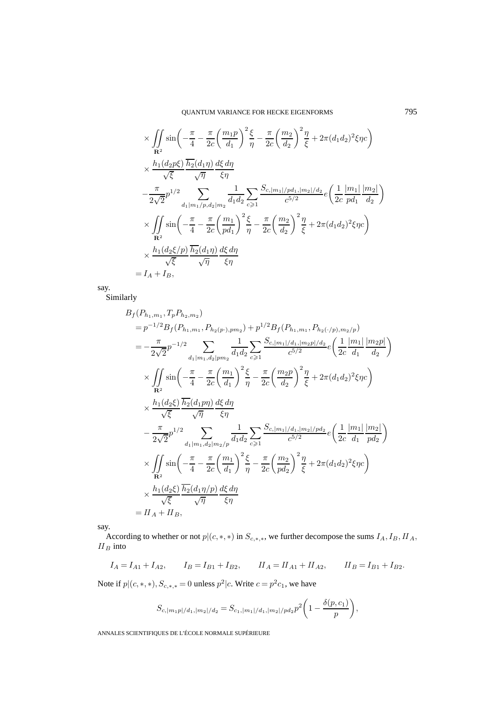# QUANTUM VARIANCE FOR HECKE EIGENFORMS 795

$$
\times \iint_{\mathbf{R}^2} \sin\left(-\frac{\pi}{4} - \frac{\pi}{2c}\left(\frac{m_1p}{d_1}\right)^2 \frac{\xi}{\eta} - \frac{\pi}{2c}\left(\frac{m_2}{d_2}\right)^2 \frac{\eta}{\xi} + 2\pi (d_1d_2)^2 \xi \eta c\right)
$$
  

$$
\times \frac{h_1(d_2p\xi)}{\sqrt{\xi}} \frac{\overline{h_2}(d_1\eta)}{\sqrt{\eta}} \frac{d\xi d\eta}{\xi \eta}
$$
  

$$
- \frac{\pi}{2\sqrt{2}} p^{1/2} \sum_{d_1|m_1/p, d_2|m_2} \frac{1}{d_1d_2} \sum_{c \geq 1} \frac{S_{c,|m_1|/pd_1,|m_2|/d_2}}{c^{5/2}} e\left(\frac{1}{2c} \frac{|m_1|}{pd_1} \frac{|m_2|}{d_2}\right)
$$
  

$$
\times \iint_{\mathbf{R}^2} \sin\left(-\frac{\pi}{4} - \frac{\pi}{2c}\left(\frac{m_1}{pd_1}\right)^2 \frac{\xi}{\eta} - \frac{\pi}{2c}\left(\frac{m_2}{d_2}\right)^2 \frac{\eta}{\xi} + 2\pi (d_1d_2)^2 \xi \eta c\right)
$$
  

$$
\times \frac{h_1(d_2\xi/p)}{\sqrt{\xi}} \frac{\overline{h_2}(d_1\eta)}{\sqrt{\eta}} \frac{d\xi d\eta}{\xi \eta}
$$
  
=  $I_A + I_B$ ,

say.

Similarly

$$
B_{f}(P_{h_{1},m_{1}},T_{p}P_{h_{2},m_{2}})
$$
\n
$$
= p^{-1/2}B_{f}(P_{h_{1},m_{1}},P_{h_{2}(p\cdot),pm_{2}})+p^{1/2}B_{f}(P_{h_{1},m_{1}},P_{h_{2}(\cdot/p),m_{2}/p})
$$
\n
$$
= -\frac{\pi}{2\sqrt{2}}p^{-1/2} \sum_{d_{1}|m_{1},d_{2}|pm_{2}} \frac{1}{d_{1}d_{2}} \sum_{c \geq 1} \frac{S_{c,|m_{1}|/d_{1},|m_{2}p|/d_{2}}}{c^{5/2}} e\left(\frac{1}{2c}\frac{|m_{1}|}{d_{1}}\frac{|m_{2}p|}{d_{2}}\right)
$$
\n
$$
\times \iint_{\mathbf{R}^{2}} \sin\left(-\frac{\pi}{4}-\frac{\pi}{2c}\left(\frac{m_{1}}{d_{1}}\right)^{2}\frac{\xi}{\eta}-\frac{\pi}{2c}\left(\frac{m_{2}p}{d_{2}}\right)^{2}\frac{\eta}{\xi}+2\pi(d_{1}d_{2})^{2}\xi\eta c\right)
$$
\n
$$
\times \frac{h_{1}(d_{2}\xi)}{\sqrt{\xi}} \frac{\overline{h_{2}}(d_{1}pp)}{\sqrt{\eta}} \frac{d\xi d\eta}{\xi\eta}
$$
\n
$$
-\frac{\pi}{2\sqrt{2}}p^{1/2} \sum_{d_{1}|m_{1},d_{2}|m_{2}/p} \frac{1}{d_{1}d_{2}} \sum_{c \geq 1} \frac{S_{c,|m_{1}|/d_{1},|m_{2}|/pd_{2}}}{c^{5/2}} e\left(\frac{1}{2c}\frac{|m_{1}|}{d_{1}}\frac{|m_{2}|}{pd_{2}}\right)
$$
\n
$$
\times \iint_{\mathbf{R}^{2}} \sin\left(-\frac{\pi}{4}-\frac{\pi}{2c}\left(\frac{m_{1}}{d_{1}}\right)^{2}\frac{\xi}{\eta}-\frac{\pi}{2c}\left(\frac{m_{2}}{pd_{2}}\right)^{2}\frac{\eta}{\xi}+2\pi(d_{1}d_{2})^{2}\xi\eta c\right)
$$
\n
$$
\times \frac{h_{1}(d_{2}\xi)}{\sqrt{\xi}} \frac{\overline{h_{2}}(d_{1}\eta/p)}
$$

say.

According to whether or not  $p|(c, *, *)$  in  $S_{c, *, *}$ , we further decompose the sums  $I_A, I_B, II_A,$  $\mathcal{H}_{B}$  into

$$
I_A = I_{A1} + I_{A2}
$$
,  $I_B = I_{B1} + I_{B2}$ ,  $II_A = II_{A1} + II_{A2}$ ,  $II_B = I_{B1} + I_{B2}$ .

Note if  $p|(c, *, *,), S_{c, *, *} = 0$  unless  $p^2|c$ . Write  $c = p^2c_1$ , we have

$$
S_{c,|m_1p|/d_1,|m_2|/d_2} = S_{c_1,|m_1|/d_1,|m_2|/pd_2} p^2 \left(1 - \frac{\delta(p,c_1)}{p}\right),
$$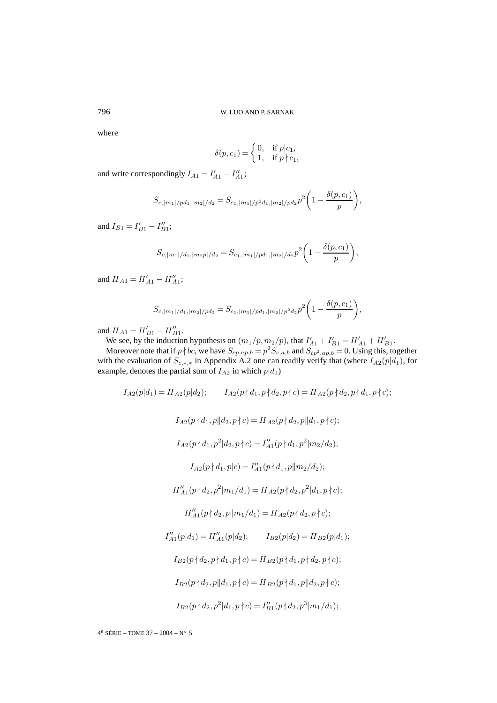where

$$
\delta(p, c_1) = \begin{cases} 0, & \text{if } p | c_1, \\ 1, & \text{if } p \nmid c_1, \end{cases}
$$

and write correspondingly  $I_{A1} = I'_{A1} - I''_{A1}$ ;

$$
S_{c,|m_1|/pd_1,|m_2|/d_2} = S_{c_1,|m_1|/p^2d_1,|m_2|/pd_2}p^2\bigg(1-\frac{\delta(p,c_1)}{p}\bigg),
$$

and  $I_{B1} = I'_{B1} - I''_{B1}$ ;

$$
S_{c,|m_1|/d_1,|m_2|/d_2} = S_{c_1,|m_1|/pd_1,|m_2|/d_2} p^2 \left(1 - \frac{\delta(p,c_1)}{p}\right),
$$

and  $II_{A1} = II'_{A1} - II''_{A1};$ 

$$
S_{c,|m_1|/d_1,|m_2|/pd_2} = S_{c_1,|m_1|/pd_1,|m_2|/p^2d_2}p^2\bigg(1-\frac{\delta(p,c_1)}{p}\bigg),
$$

and  $II_{A1} = II'_{B1} - II''_{B1}$ .

We see, by the induction hypothesis on  $(m_1/p, m_2/p)$ , that  $I'_{A1} + I'_{B1} = II'_{A1} + II'_{B1}$ .

Moreover note that if  $p \nmid bc$ , we have  $S_{cp,ap,b} = p^2 S_{c,a,b}$  and  $S_{tp^2,ap,b} = 0$ . Using this, together with the evaluation of  $S_{c,*,*}$  in Appendix A.2 one can readily verify that (where  $I_{A2}(p|d_1)$ , for example, denotes the partial sum of  $I_{A2}$  in which  $p|d_1$ )

$$
I_{A2}(p|d_1) = II_{A2}(p|d_2); \qquad I_{A2}(p \nmid d_1, p \nmid d_2, p \nmid c) = II_{A2}(p \nmid d_2, p \nmid d_1, p \nmid c);
$$
\n
$$
I_{A2}(p \nmid d_1, p||d_2, p \nmid c) = II_{A2}(p \nmid d_2, p||d_1, p \nmid c);
$$
\n
$$
I_{A2}(p \nmid d_1, p^2|d_2, p \nmid c) = I_{A1}''(p \nmid d_1, p^2 |m_2/d_2);
$$
\n
$$
I_{A2}(p \nmid d_1, p|c) = I_{A1}''(p \nmid d_1, p||m_2/d_2);
$$
\n
$$
II_{A1}''(p \nmid d_2, p^2 |m_1/d_1) = II_{A2}(p \nmid d_2, p^2 |d_1, p \nmid c);
$$
\n
$$
II_{A1}''(p \nmid d_2, p||m_1/d_1) = II_{A2}(p \nmid d_2, p \nmid c);
$$
\n
$$
I_{A1}''(p|d_1) = II_{A1}''(p|d_2); \qquad I_{B2}(p|d_2) = II_{B2}(p|d_1);
$$
\n
$$
I_{B2}(p \nmid d_2, p \nmid d_1, p \nmid c) = II_{B2}(p \nmid d_1, p \nmid d_2, p \nmid c);
$$
\n
$$
I_{B2}(p \nmid d_2, p ||d_1, p \nmid c) = II_{B2}(p \nmid d_1, p ||d_2, p \nmid c);
$$
\n
$$
I_{B2}(p \nmid d_2, p^2 |d_1, p \nmid c) = I_{B1}''(p \nmid d_2, p^3 |m_1/d_1);
$$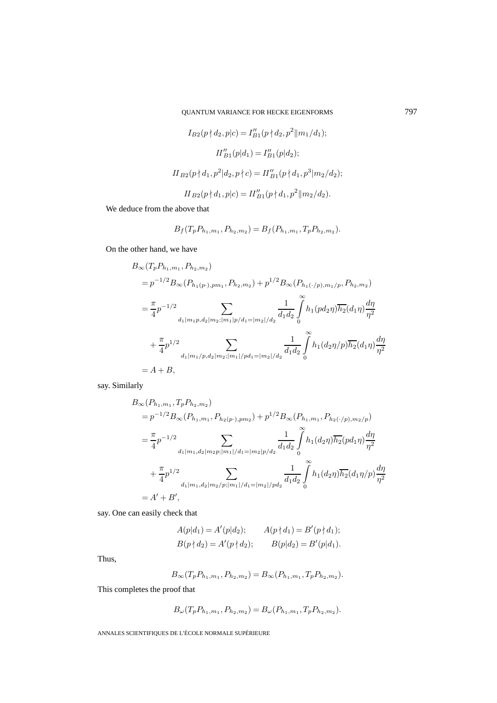$$
I_{B2}(p \nmid d_2, p|c) = I''_{B1}(p \nmid d_2, p^2 || m_1/d_1);
$$
  
\n
$$
II''_{B1}(p|d_1) = I''_{B1}(p|d_2);
$$
  
\n
$$
II_{B2}(p \nmid d_1, p^2 | d_2, p \nmid c) = II''_{B1}(p \nmid d_1, p^3 | m_2/d_2);
$$
  
\n
$$
II_{B2}(p \nmid d_1, p|c) = II''_{B1}(p \nmid d_1, p^2 || m_2/d_2).
$$

We deduce from the above that

$$
B_f(T_p P_{h_1,m_1}, P_{h_2,m_2}) = B_f(P_{h_1,m_1}, T_p P_{h_2,m_2}).
$$

On the other hand, we have

$$
B_{\infty}(T_{p}P_{h_{1},m_{1}},P_{h_{2},m_{2}})
$$
  
\n
$$
=p^{-1/2}B_{\infty}(P_{h_{1}(p\cdot),pm_{1}},P_{h_{2},m_{2}})+p^{1/2}B_{\infty}(P_{h_{1}(\cdot/p),m_{1}/p},P_{h_{2},m_{2}})
$$
  
\n
$$
=\frac{\pi}{4}p^{-1/2}\sum_{d_{1}|m_{1}p,d_{2}|m_{2};|m_{1}|p/d_{1}=|m_{2}|/d_{2}}\frac{1}{d_{1}d_{2}}\int_{0}^{\infty}h_{1}(pd_{2}\eta)\overline{h_{2}}(d_{1}\eta)\frac{d\eta}{\eta^{2}}
$$
  
\n
$$
+\frac{\pi}{4}p^{1/2}\sum_{d_{1}|m_{1}/p,d_{2}|m_{2};|m_{1}|/pd_{1}=|m_{2}|/d_{2}}\frac{1}{d_{1}d_{2}}\int_{0}^{\infty}h_{1}(d_{2}\eta/p)\overline{h_{2}}(d_{1}\eta)\frac{d\eta}{\eta^{2}}
$$
  
\n
$$
=A+B,
$$

say. Similarly

$$
B_{\infty}(P_{h_1,m_1}, T_p P_{h_2,m_2})
$$
  
=  $p^{-1/2} B_{\infty}(P_{h_1,m_1}, P_{h_2(p\cdot),pm_2}) + p^{1/2} B_{\infty}(P_{h_1,m_1}, P_{h_2(\cdot/p),m_2/p})$   
=  $\frac{\pi}{4} p^{-1/2}$   

$$
\sum_{d_1|m_1,d_2|m_2p; |m_1|/d_1=|m_2|p/d_2} \frac{1}{d_1d_2} \int_0^{\infty} h_1(d_2\eta) \overline{h_2}(p d_1\eta) \frac{d\eta}{\eta^2}
$$
  
+  $\frac{\pi}{4} p^{1/2}$   

$$
+ \frac{\pi}{4} p^{1/2} \sum_{d_1|m_1,d_2|m_2/p; |m_1|/d_1=|m_2|/pd_2} \frac{1}{d_1d_2} \int_0^{\infty} h_1(d_2\eta) \overline{h_2}(d_1\eta/p) \frac{d\eta}{\eta^2}
$$
  
=  $A' + B'$ ,

say. One can easily check that

$$
A(p|d_1) = A'(p|d_2); \qquad A(p \nmid d_1) = B'(p \nmid d_1);
$$
  
\n
$$
B(p \nmid d_2) = A'(p \nmid d_2); \qquad B(p|d_2) = B'(p|d_1).
$$

Thus,

$$
B_{\infty}(T_p P_{h_1,m_1}, P_{h_2,m_2}) = B_{\infty}(P_{h_1,m_1}, T_p P_{h_2,m_2}).
$$

This completes the proof that

$$
B_{\omega}(T_p P_{h_1,m_1}, P_{h_2,m_2}) = B_{\omega}(P_{h_1,m_1}, T_p P_{h_2,m_2}).
$$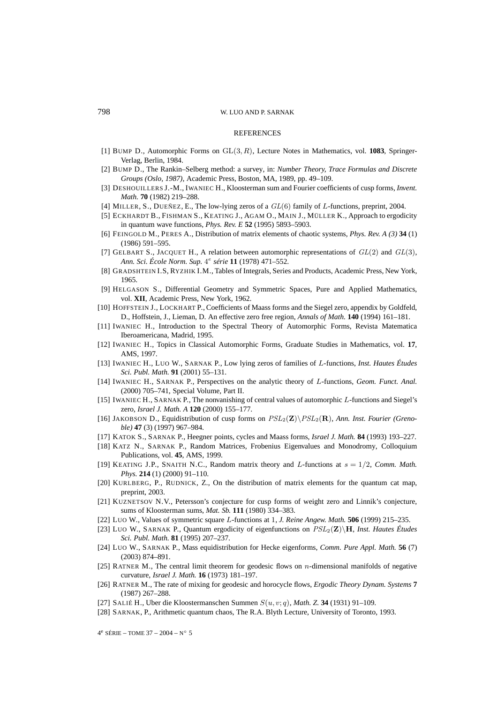## 798 W. LUO AND P. SARNAK

## **REFERENCES**

- [1] BUMP D., Automorphic Forms on GL(3, R), Lecture Notes in Mathematics, vol. **1083**, Springer-Verlag, Berlin, 1984.
- [2] BUMP D., The Rankin–Selberg method: a survey, in: *Number Theory, Trace Formulas and Discrete Groups (Oslo, 1987)*, Academic Press, Boston, MA, 1989, pp. 49–109.
- [3] DESHOUILLERS J.-M., IWANIEC H., Kloosterman sum and Fourier coefficients of cusp forms, *Invent. Math.* **70** (1982) 219–288.
- [4] MILLER, S., DUEÑEZ, E., The low-lying zeros of a GL(6) family of L-functions, preprint, 2004.
- [5] ECKHARDT B., FISHMAN S., KEATING J., AGAM O., MAIN J., MÜLLER K., Approach to ergodicity in quantum wave functions, *Phys. Rev. E* **52** (1995) 5893–5903.
- [6] FEINGOLD M., PERES A., Distribution of matrix elements of chaotic systems, *Phys. Rev. A (3)* **34** (1) (1986) 591–595.
- [7] GELBART S., JACQUET H., A relation between automorphic representations of  $GL(2)$  and  $GL(3)$ , *Ann. Sci. École Norm. Sup.* 4<sup>e</sup> *série* **11** (1978) 471–552.
- [8] GRADSHTEIN I.S, RYZHIK I.M., Tables of Integrals, Series and Products, Academic Press, New York, 1965.
- [9] HELGASON S., Differential Geometry and Symmetric Spaces, Pure and Applied Mathematics, vol. **XII**, Academic Press, New York, 1962.
- [10] HOFFSTEIN J., LOCKHART P., Coefficients of Maass forms and the Siegel zero, appendix by Goldfeld, D., Hoffstein, J., Lieman, D. An effective zero free region, *Annals of Math.* **140** (1994) 161–181.
- [11] IWANIEC H., Introduction to the Spectral Theory of Automorphic Forms, Revista Matematica Iberoamericana, Madrid, 1995.
- [12] IWANIEC H., Topics in Classical Automorphic Forms, Graduate Studies in Mathematics, vol. **17**, AMS, 1997.
- [13] IWANIEC H., LUO W., SARNAK P., Low lying zeros of families of L-functions, *Inst. Hautes Études Sci. Publ. Math.* **91** (2001) 55–131.
- [14] IWANIEC H., SARNAK P., Perspectives on the analytic theory of L-functions, *Geom. Funct. Anal.* (2000) 705–741, Special Volume, Part II.
- [15] IWANIEC H., SARNAK P., The nonvanishing of central values of automorphic L-functions and Siegel's zero, *Israel J. Math. A* **120** (2000) 155–177.
- [16] JAKOBSON D., Equidistribution of cusp forms on  $PSL_2(\mathbf{Z})\backslash PSL_2(\mathbf{R})$ , *Ann. Inst. Fourier (Grenoble)* **47** (3) (1997) 967–984.
- [17] KATOK S., SARNAK P., Heegner points, cycles and Maass forms, *Israel J. Math.* **84** (1993) 193–227.
- [18] KATZ N., SARNAK P., Random Matrices, Frobenius Eigenvalues and Monodromy, Colloquium Publications, vol. **45**, AMS, 1999.
- [19] KEATING J.P., SNAITH N.C., Random matrix theory and L-functions at s = 1/2, *Comm. Math. Phys.* **214** (1) (2000) 91–110.
- [20] KURLBERG, P., RUDNICK, Z., On the distribution of matrix elements for the quantum cat map, preprint, 2003.
- [21] KUZNETSOV N.V., Petersson's conjecture for cusp forms of weight zero and Linnik's conjecture, sums of Kloosterman sums, *Mat. Sb.* **111** (1980) 334–383.
- [22] LUO W., Values of symmetric square L-functions at 1, *J. Reine Angew. Math.* **506** (1999) 215–235.
- [23] LUO W., SARNAK P., Quantum ergodicity of eigenfunctions on PSL2(**Z**)\**H**, *Inst. Hautes Études Sci. Publ. Math.* **81** (1995) 207–237.
- [24] LUO W., SARNAK P., Mass equidistribution for Hecke eigenforms, *Comm. Pure Appl. Math.* **56** (7) (2003) 874–891.
- [25] RATNER M., The central limit theorem for geodesic flows on n-dimensional manifolds of negative curvature, *Israel J. Math.* **16** (1973) 181–197.
- [26] RATNER M., The rate of mixing for geodesic and horocycle flows, *Ergodic Theory Dynam. Systems* **7** (1987) 267–288.
- [27] SALIÉ H., Uber die Kloostermanschen Summen S(u, v; q), *Math. Z.* **34** (1931) 91–109.
- [28] SARNAK, P., Arithmetic quantum chaos, The R.A. Blyth Lecture, University of Toronto, 1993.